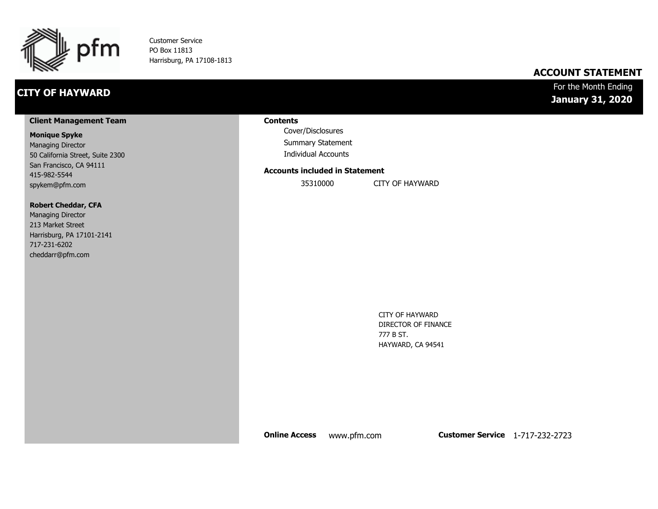

Customer Service PO Box 11813 Harrisburg, PA 17108-1813

# **CITY OF HAYWARD**

# **ACCOUNT STATEMENT**

# For the Month Ending **January 31, 2020**

#### **Client Management Team**

#### **Monique Spyke**

Managing Director 50 California Street, Suite 2300 San Francisco, CA 94111 415-982-5544 spykem@pfm.com

#### **Robert Cheddar, CFA**

| <b>Managing Director</b>  |
|---------------------------|
| 213 Market Street         |
| Harrisburg, PA 17101-2141 |
| 717-231-6202              |
| cheddarr@pfm.com          |

#### **Contents**

Cover/Disclosures Summary Statement Individual Accounts

#### **Accounts included in Statement**

35310000 CITY OF HAYWARD

CITY OF HAYWARD DIRECTOR OF FINANCE 777 B ST.

HAYWARD, CA 94541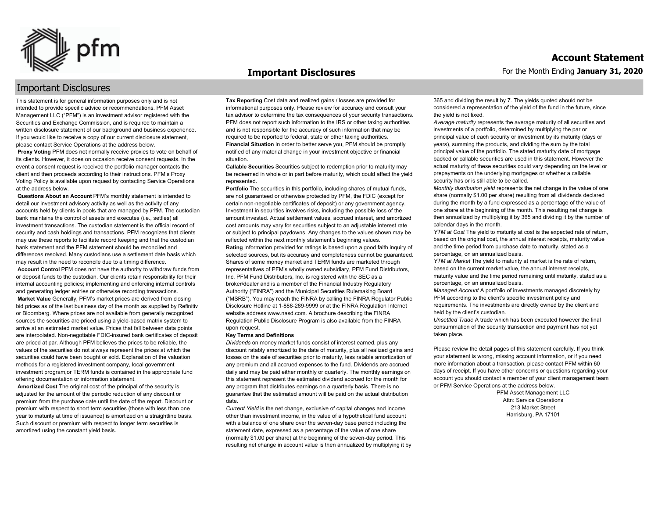

#### **Important Disclosures**

# Important Disclosures

This statement is for general information purposes only and is not intended to provide specific advice or recommendations. PFM Asset Management LLC ("PFM") is an investment advisor registered with the Securities and Exchange Commission, and is required to maintain a written disclosure statement of our background and business experience. If you would like to receive a copy of our current disclosure statement, please contact Service Operations at the address below.

**Proxy Voting** PFM does not normally receive proxies to vote on behalf of its clients. However, it does on occasion receive consent requests. In the event a consent request is received the portfolio manager contacts the client and then proceeds according to their instructions. PFM's Proxy Voting Policy is available upon request by contacting Service Operations at the address below.

**Questions About an Account** PFM's monthly statement is intended to detail our investment advisory activity as well as the activity of any accounts held by clients in pools that are managed by PFM. The custodian bank maintains the control of assets and executes (i.e., settles) all investment transactions. The custodian statement is the official record of security and cash holdings and transactions. PFM recognizes that clients may use these reports to facilitate record keeping and that the custodian bank statement and the PFM statement should be reconciled and differences resolved. Many custodians use a settlement date basis which may result in the need to reconcile due to a timing difference.

**Account Control** PFM does not have the authority to withdraw funds from or deposit funds to the custodian. Our clients retain responsibility for their internal accounting policies; implementing and enforcing internal controls and generating ledger entries or otherwise recording transactions.

**Market Value** Generally, PFM's market prices are derived from closing bid prices as of the last business day of the month as supplied by Refinitiv or Bloomberg. Where prices are not available from generally recognized sources the securities are priced using a yield-based matrix system to arrive at an estimated market value. Prices that fall between data points are interpolated. Non-negotiable FDIC-insured bank certificates of deposit are priced at par. Although PFM believes the prices to be reliable, the values of the securities do not always represent the prices at which the securities could have been bought or sold. Explanation of the valuation methods for a registered investment company, local government investment program,or TERM funds is contained in the appropriate fund offering documentation or information statement.

**Amortized Cost** The original cost of the principal of the security is adjusted for the amount of the periodic reduction of any discount or premium from the purchase date until the date of the report. Discount or premium with respect to short term securities (those with less than one year to maturity at time of issuance) is amortized on a straightline basis. Such discount or premium with respect to longer term securities is amortized using the constant yield basis.

**Tax Reporting** Cost data and realized gains / losses are provided for informational purposes only. Please review for accuracy and consult your tax advisor to determine the tax consequences of your security transactions. PFM does not report such information to the IRS or other taxing authorities and is not responsible for the accuracy of such information that may be required to be reported to federal, state or other taxing authorities. **Financial Situation** In order to better serve you, PFM should be promptly notified of any material change in your investment objective or financial situation.

**Callable Securities** Securities subject to redemption prior to maturity may be redeemed in whole or in part before maturity, which could affect the yield represented.

Portfolio The securities in this portfolio, including shares of mutual funds, are not guaranteed or otherwise protected by PFM, the FDIC (except for certain non-negotiable certificates of deposit) or any government agency. Investment in securities involves risks, including the possible loss of the amount invested. Actual settlement values, accrued interest, and amortized cost amounts may vary for securities subject to an adjustable interest rate or subject to principal paydowns. Any changes to the values shown may be reflected within the next monthly statement's beginning values. **Rating** Information provided for ratings is based upon a good faith inquiry of selected sources, but its accuracy and completeness cannot be guaranteed. Shares of some money market and TERM funds are marketed through representatives of PFM's wholly owned subsidiary, PFM Fund Distributors, Inc. PFM Fund Distributors, Inc. is registered with the SEC as a broker/dealer and is a member of the Financial Industry Regulatory Authority ("FINRA") and the Municipal Securities Rulemaking Board ("MSRB"). You may reach the FINRA by calling the FINRA Regulator Public Disclosure Hotline at 1-888-289-9999 or at the FINRA Regulation Internet website address www.nasd.com. A brochure describing the FINRA Regulation Public Disclosure Program is also available from the FINRA upon request.

#### **Key Terms and Definitions**

*Dividends* on money market funds consist of interest earned, plus any discount ratably amortized to the date of maturity, plus all realized gains and losses on the sale of securities prior to maturity, less ratable amortization of any premium and all accrued expenses to the fund. Dividends are accrued daily and may be paid either monthly or quarterly. The monthly earnings on this statement represent the estimated dividend accrued for the month for any program that distributes earnings on a quarterly basis. There is no guarantee that the estimated amount will be paid on the actual distribution date.

*Current Yield* is the net change, exclusive of capital changes and income other than investment income, in the value of a hypothetical fund account with a balance of one share over the seven-day base period including the statement date, expressed as a percentage of the value of one share (normally \$1.00 per share) at the beginning of the seven-day period. This resulting net change in account value is then annualized by multiplying it by 365 and dividing the result by 7. The yields quoted should not be considered a representation of the yield of the fund in the future, since the yield is not fixed.

*Average maturity* represents the average maturity of all securities and investments of a portfolio, determined by multiplying the par or principal value of each security or investment by its maturity (days or years), summing the products, and dividing the sum by the total principal value of the portfolio. The stated maturity date of mortgage backed or callable securities are used in this statement. However the actual maturity of these securities could vary depending on the level or prepayments on the underlying mortgages or whether a callable security has or is still able to be called.

*Monthly distribution yield* represents the net change in the value of one share (normally \$1.00 per share) resulting from all dividends declared during the month by a fund expressed as a percentage of the value of one share at the beginning of the month. This resulting net change is then annualized by multiplying it by 365 and dividing it by the number of calendar days in the month.

*YTM at Cost* The yield to maturity at cost is the expected rate of return, based on the original cost, the annual interest receipts, maturity value and the time period from purchase date to maturity, stated as a percentage, on an annualized basis.

*YTM at Market* The yield to maturity at market is the rate of return, based on the current market value, the annual interest receipts, maturity value and the time period remaining until maturity, stated as a percentage, on an annualized basis.

*Managed Account* A portfolio of investments managed discretely by PFM according to the client's specific investment policy and requirements. The investments are directly owned by the client and held by the client's custodian.

*Unsettled Trade* A trade which has been executed however the final consummation of the security transaction and payment has not yet taken place.

Please review the detail pages of this statement carefully. If you think your statement is wrong, missing account information, or if you need more information about a transaction, please contact PFM within 60 days of receipt. If you have other concerns or questions regarding your account you should contact a member of your client management team or PFM Service Operations at the address below.

> PFM Asset Management LLC Attn: Service Operations 213 Market Street Harrisburg, PA 17101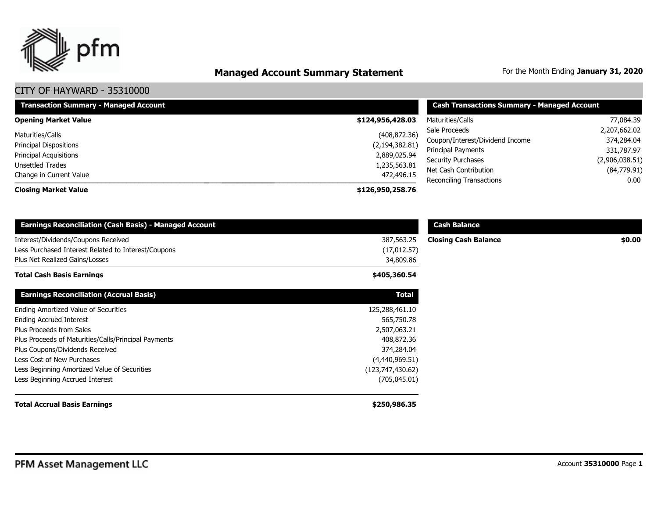

# **Managed Account Summary Statement** For the Month Ending January 31, 2020

| <b>Transaction Summary - Managed Account</b>                                                    | <b>Cash Transactions Summary - Managed Account</b>                |                                                                                                     |                                                            |  |
|-------------------------------------------------------------------------------------------------|-------------------------------------------------------------------|-----------------------------------------------------------------------------------------------------|------------------------------------------------------------|--|
| <b>Opening Market Value</b>                                                                     | \$124,956,428.03                                                  | Maturities/Calls                                                                                    | 77,084.39                                                  |  |
| Maturities/Calls<br>Principal Dispositions<br><b>Principal Acquisitions</b><br>Unsettled Trades | (408, 872.36)<br>(2, 194, 382.81)<br>2,889,025.94<br>1,235,563.81 | Sale Proceeds<br>Coupon/Interest/Dividend Income<br>Principal Payments<br><b>Security Purchases</b> | 2,207,662.02<br>374,284.04<br>331,787.97<br>(2,906,038.51) |  |
| Change in Current Value                                                                         | 472,496.15                                                        | Net Cash Contribution<br>Reconciling Transactions                                                   | (84,779.91)<br>0.00                                        |  |
| <b>Closing Market Value</b>                                                                     | \$126,950,258.76                                                  |                                                                                                     |                                                            |  |

| <b>Earnings Reconciliation (Cash Basis) - Managed Account</b>                         |                           | <b>Cash Balance</b>         |        |
|---------------------------------------------------------------------------------------|---------------------------|-----------------------------|--------|
| Interest/Dividends/Coupons Received                                                   | 387,563.25                | <b>Closing Cash Balance</b> | \$0.00 |
| Less Purchased Interest Related to Interest/Coupons<br>Plus Net Realized Gains/Losses | (17, 012.57)<br>34,809.86 |                             |        |
| Total Cash Basis Earnings                                                             | \$405,360.54              |                             |        |
| <b>Earnings Reconciliation (Accrual Basis)</b>                                        | <b>Total</b>              |                             |        |
| Ending Amortized Value of Securities                                                  | 125,288,461.10            |                             |        |
| Ending Accrued Interest                                                               | 565,750.78                |                             |        |
| Plus Proceeds from Sales                                                              | 2,507,063.21              |                             |        |
| Plus Proceeds of Maturities/Calls/Principal Payments                                  | 408,872.36                |                             |        |
| Plus Coupons/Dividends Received                                                       | 374,284.04                |                             |        |
| Less Cost of New Purchases                                                            | (4,440,969.51)            |                             |        |
| Less Beginning Amortized Value of Securities                                          | (123, 747, 430.62)        |                             |        |
| Less Beginning Accrued Interest                                                       | (705, 045.01)             |                             |        |
| <b>Total Accrual Basis Earnings</b>                                                   | \$250,986.35              |                             |        |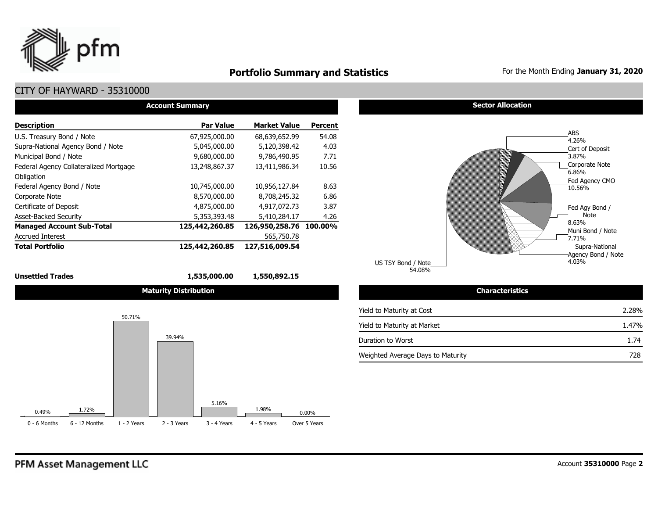

# **Portfolio Summary and Statistics** For the Month Ending January 31, 2020

# CITY OF HAYWARD - 35310000

| <b>Account Summary</b>                 |                  |                     |                |  |  |  |  |  |  |  |
|----------------------------------------|------------------|---------------------|----------------|--|--|--|--|--|--|--|
| <b>Description</b>                     | <b>Par Value</b> | <b>Market Value</b> | <b>Percent</b> |  |  |  |  |  |  |  |
| U.S. Treasury Bond / Note              | 67,925,000.00    | 68,639,652.99       | 54.08          |  |  |  |  |  |  |  |
| Supra-National Agency Bond / Note      | 5,045,000.00     | 5,120,398.42        | 4.03           |  |  |  |  |  |  |  |
| Municipal Bond / Note                  | 9,680,000,00     | 9.786.490.95        | 7.71           |  |  |  |  |  |  |  |
| Federal Agency Collateralized Mortgage | 13,248,867.37    | 13,411,986.34       | 10.56          |  |  |  |  |  |  |  |
| Obligation                             |                  |                     |                |  |  |  |  |  |  |  |
| Federal Agency Bond / Note             | 10,745,000.00    | 10,956,127.84       | 8.63           |  |  |  |  |  |  |  |
| Corporate Note                         | 8,570,000.00     | 8,708,245.32        | 6.86           |  |  |  |  |  |  |  |
| Certificate of Deposit                 | 4,875,000.00     | 4,917,072.73        | 3.87           |  |  |  |  |  |  |  |
| <b>Asset-Backed Security</b>           | 5,353,393.48     | 5,410,284.17        | 4.26           |  |  |  |  |  |  |  |
| <b>Managed Account Sub-Total</b>       | 125,442,260.85   | 126,950,258.76      | 100.00%        |  |  |  |  |  |  |  |
| <b>Accrued Interest</b>                |                  | 565,750.78          |                |  |  |  |  |  |  |  |
| <b>Total Portfolio</b>                 | 125,442,260.85   | 127,516,009.54      |                |  |  |  |  |  |  |  |

#### **Unsettled Trades 1,535,000.00 1,550,892.15**

**Maturity Distribution** 



#### **Sector Allocation**



| <b>Characteristics</b>            |       |  |  |  |  |  |  |
|-----------------------------------|-------|--|--|--|--|--|--|
| Yield to Maturity at Cost         | 2.28% |  |  |  |  |  |  |
| Yield to Maturity at Market       | 1.47% |  |  |  |  |  |  |
| Duration to Worst                 | 1.74  |  |  |  |  |  |  |
| Weighted Average Days to Maturity | 728   |  |  |  |  |  |  |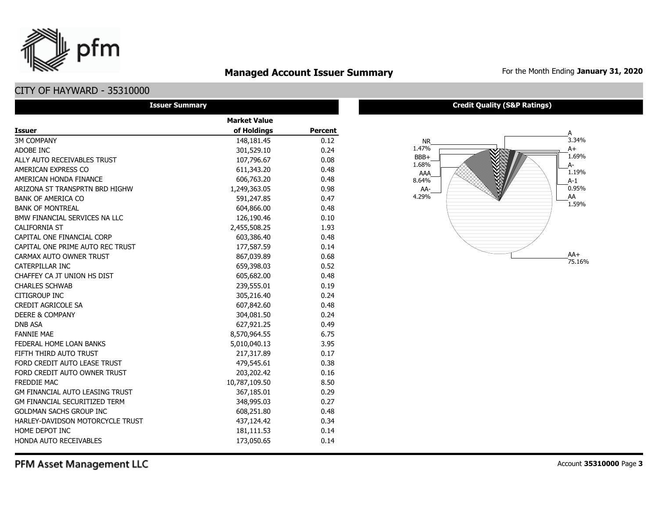

# **Managed Account Issuer Summary** For the Month Ending January 31, 2020

# CITY OF HAYWARD - 35310000

| <b>Issuer Summary</b>                  |                     |                |
|----------------------------------------|---------------------|----------------|
|                                        | <b>Market Value</b> |                |
| <b>Issuer</b>                          | of Holdings         | <b>Percent</b> |
| <b>3M COMPANY</b>                      | 148,181.45          | 0.12           |
| ADOBE INC                              | 301,529.10          | 0.24           |
| ALLY AUTO RECEIVABLES TRUST            | 107,796.67          | 0.08           |
| AMERICAN EXPRESS CO                    | 611,343.20          | 0.48           |
| AMERICAN HONDA FINANCE                 | 606,763.20          | 0.48           |
| ARIZONA ST TRANSPRTN BRD HIGHW         | 1,249,363.05        | 0.98           |
| <b>BANK OF AMERICA CO</b>              | 591,247.85          | 0.47           |
| <b>BANK OF MONTREAL</b>                | 604,866.00          | 0.48           |
| BMW FINANCIAL SERVICES NA LLC          | 126,190.46          | 0.10           |
| <b>CALIFORNIA ST</b>                   | 2,455,508.25        | 1.93           |
| CAPITAL ONE FINANCIAL CORP             | 603,386.40          | 0.48           |
| CAPITAL ONE PRIME AUTO REC TRUST       | 177,587.59          | 0.14           |
| CARMAX AUTO OWNER TRUST                | 867,039.89          | 0.68           |
| CATERPILLAR INC                        | 659,398.03          | 0.52           |
| CHAFFEY CA JT UNION HS DIST            | 605,682.00          | 0.48           |
| <b>CHARLES SCHWAB</b>                  | 239,555.01          | 0.19           |
| <b>CITIGROUP INC</b>                   | 305,216.40          | 0.24           |
| <b>CREDIT AGRICOLE SA</b>              | 607,842.60          | 0.48           |
| <b>DEERE &amp; COMPANY</b>             | 304,081.50          | 0.24           |
| <b>DNB ASA</b>                         | 627,921.25          | 0.49           |
| <b>FANNIE MAE</b>                      | 8,570,964.55        | 6.75           |
| FEDERAL HOME LOAN BANKS                | 5,010,040.13        | 3.95           |
| FIFTH THIRD AUTO TRUST                 | 217,317.89          | 0.17           |
| FORD CREDIT AUTO LEASE TRUST           | 479,545.61          | 0.38           |
| FORD CREDIT AUTO OWNER TRUST           | 203,202.42          | 0.16           |
| <b>FREDDIE MAC</b>                     | 10,787,109.50       | 8.50           |
| <b>GM FINANCIAL AUTO LEASING TRUST</b> | 367,185.01          | 0.29           |
| <b>GM FINANCIAL SECURITIZED TERM</b>   | 348,995.03          | 0.27           |
| <b>GOLDMAN SACHS GROUP INC</b>         | 608,251.80          | 0.48           |
| HARLEY-DAVIDSON MOTORCYCLE TRUST       | 437,124.42          | 0.34           |
| HOME DEPOT INC                         | 181,111.53          | 0.14           |
| HONDA AUTO RECEIVABLES                 | 173,050.65          | 0.14           |

#### **Credit Quality (S&P Ratings)**

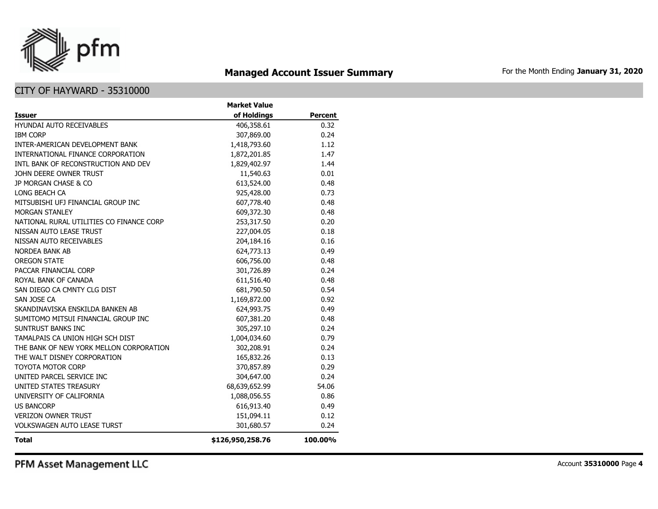

# **Managed Account Issuer Summary** For the Month Ending January 31, 2020

# CITY OF HAYWARD - 35310000

|                                          | <b>Market Value</b> | <b>Percent</b> |  |
|------------------------------------------|---------------------|----------------|--|
| <b>Issuer</b>                            | of Holdings         |                |  |
| <b>HYUNDAI AUTO RECEIVABLES</b>          | 406,358.61          | 0.32           |  |
| <b>IBM CORP</b>                          | 307,869.00          | 0.24           |  |
| INTER-AMERICAN DEVELOPMENT BANK          | 1,418,793.60        | 1.12           |  |
| INTERNATIONAL FINANCE CORPORATION        | 1,872,201.85        | 1.47           |  |
| INTL BANK OF RECONSTRUCTION AND DEV      | 1,829,402.97        | 1.44           |  |
| JOHN DEERE OWNER TRUST                   | 11,540.63           | 0.01           |  |
| JP MORGAN CHASE & CO                     | 613,524.00          | 0.48           |  |
| LONG BEACH CA                            | 925,428.00          | 0.73           |  |
| MITSUBISHI UFJ FINANCIAL GROUP INC       | 607,778.40          | 0.48           |  |
| MORGAN STANLEY                           | 609,372.30          | 0.48           |  |
| NATIONAL RURAL UTILITIES CO FINANCE CORP | 253,317.50          | 0.20           |  |
| NISSAN AUTO LEASE TRUST                  | 227,004.05          | 0.18           |  |
| NISSAN AUTO RECEIVABLES                  | 204,184.16          | 0.16           |  |
| <b>NORDEA BANK AB</b>                    | 624,773.13          | 0.49           |  |
| <b>OREGON STATE</b>                      | 606,756.00          | 0.48           |  |
| PACCAR FINANCIAL CORP                    | 301,726.89          | 0.24           |  |
| ROYAL BANK OF CANADA                     | 611,516.40          | 0.48           |  |
| SAN DIEGO CA CMNTY CLG DIST              | 681,790.50          | 0.54           |  |
| SAN JOSE CA                              | 1,169,872.00        | 0.92           |  |
| SKANDINAVISKA ENSKILDA BANKEN AB         | 624,993.75          | 0.49           |  |
| SUMITOMO MITSUI FINANCIAL GROUP INC      | 607,381.20          | 0.48           |  |
| SUNTRUST BANKS INC                       | 305,297.10          | 0.24           |  |
| TAMALPAIS CA UNION HIGH SCH DIST         | 1,004,034.60        | 0.79           |  |
| THE BANK OF NEW YORK MELLON CORPORATION  | 302,208.91          | 0.24           |  |
| THE WALT DISNEY CORPORATION              | 165,832.26          | 0.13           |  |
| <b>TOYOTA MOTOR CORP</b>                 | 370,857.89          | 0.29           |  |
| UNITED PARCEL SERVICE INC                | 304,647.00          | 0.24           |  |
| UNITED STATES TREASURY                   | 68,639,652.99       | 54.06          |  |
| UNIVERSITY OF CALIFORNIA                 | 1,088,056.55        | 0.86           |  |
| <b>US BANCORP</b>                        | 616,913.40          | 0.49           |  |
| <b>VERIZON OWNER TRUST</b>               | 151,094.11          | 0.12           |  |
| <b>VOLKSWAGEN AUTO LEASE TURST</b>       | 301,680.57          | 0.24           |  |
| <b>Total</b>                             | \$126,950,258.76    | 100.00%        |  |

PFM Asset Management LLC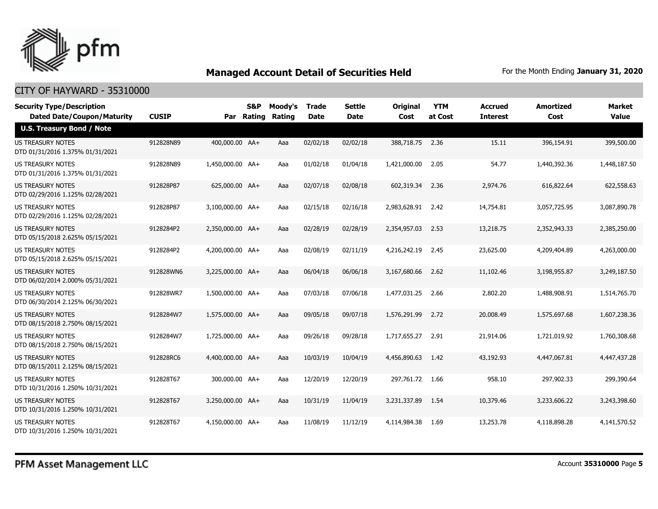

| <b>Security Type/Description</b><br><b>Dated Date/Coupon/Maturity</b> | <b>CUSIP</b> | Par              | <b>S&amp;P</b><br>Rating | Moody's<br>Rating | <b>Trade</b><br><b>Date</b> | <b>Settle</b><br><b>Date</b> | <b>Original</b><br>Cost | <b>YTM</b><br>at Cost | <b>Accrued</b><br><b>Interest</b> | <b>Amortized</b><br>Cost | Market<br><b>Value</b> |
|-----------------------------------------------------------------------|--------------|------------------|--------------------------|-------------------|-----------------------------|------------------------------|-------------------------|-----------------------|-----------------------------------|--------------------------|------------------------|
| <b>U.S. Treasury Bond / Note</b>                                      |              |                  |                          |                   |                             |                              |                         |                       |                                   |                          |                        |
| <b>US TREASURY NOTES</b><br>DTD 01/31/2016 1.375% 01/31/2021          | 912828N89    | 400,000.00 AA+   |                          | Aaa               | 02/02/18                    | 02/02/18                     | 388,718.75 2.36         |                       | 15.11                             | 396,154.91               | 399,500.00             |
| US TREASURY NOTES<br>DTD 01/31/2016 1.375% 01/31/2021                 | 912828N89    | 1,450,000.00 AA+ |                          | Aaa               | 01/02/18                    | 01/04/18                     | 1,421,000.00            | 2.05                  | 54.77                             | 1,440,392.36             | 1,448,187.50           |
| US TREASURY NOTES<br>DTD 02/29/2016 1.125% 02/28/2021                 | 912828P87    | 625,000.00 AA+   |                          | Aaa               | 02/07/18                    | 02/08/18                     | 602,319.34              | 2.36                  | 2,974.76                          | 616,822.64               | 622,558.63             |
| US TREASURY NOTES<br>DTD 02/29/2016 1.125% 02/28/2021                 | 912828P87    | 3,100,000.00 AA+ |                          | Aaa               | 02/15/18                    | 02/16/18                     | 2,983,628.91            | 2.42                  | 14,754.81                         | 3,057,725.95             | 3,087,890.78           |
| <b>US TREASURY NOTES</b><br>DTD 05/15/2018 2.625% 05/15/2021          | 9128284P2    | 2,350,000.00 AA+ |                          | Aaa               | 02/28/19                    | 02/28/19                     | 2,354,957.03            | 2.53                  | 13,218.75                         | 2,352,943.33             | 2,385,250.00           |
| <b>US TREASURY NOTES</b><br>DTD 05/15/2018 2.625% 05/15/2021          | 9128284P2    | 4,200,000.00 AA+ |                          | Aaa               | 02/08/19                    | 02/11/19                     | 4,216,242.19            | 2.45                  | 23,625.00                         | 4,209,404.89             | 4,263,000.00           |
| US TREASURY NOTES<br>DTD 06/02/2014 2.000% 05/31/2021                 | 912828WN6    | 3,225,000.00 AA+ |                          | Aaa               | 06/04/18                    | 06/06/18                     | 3,167,680.66            | 2.62                  | 11,102.46                         | 3,198,955.87             | 3,249,187.50           |
| US TREASURY NOTES<br>DTD 06/30/2014 2.125% 06/30/2021                 | 912828WR7    | 1,500,000.00 AA+ |                          | Aaa               | 07/03/18                    | 07/06/18                     | 1,477,031.25            | 2.66                  | 2,802.20                          | 1,488,908.91             | 1,514,765.70           |
| US TREASURY NOTES<br>DTD 08/15/2018 2.750% 08/15/2021                 | 9128284W7    | 1,575,000.00 AA+ |                          | Aaa               | 09/05/18                    | 09/07/18                     | 1,576,291.99            | 2.72                  | 20,008.49                         | 1,575,697.68             | 1,607,238.36           |
| <b>US TREASURY NOTES</b><br>DTD 08/15/2018 2.750% 08/15/2021          | 9128284W7    | 1,725,000.00 AA+ |                          | Aaa               | 09/26/18                    | 09/28/18                     | 1,717,655,27            | 2.91                  | 21,914.06                         | 1,721,019.92             | 1,760,308.68           |
| <b>US TREASURY NOTES</b><br>DTD 08/15/2011 2.125% 08/15/2021          | 912828RC6    | 4,400,000.00 AA+ |                          | Aaa               | 10/03/19                    | 10/04/19                     | 4,456,890.63            | 1.42                  | 43,192.93                         | 4,447,067.81             | 4,447,437,28           |
| <b>US TREASURY NOTES</b><br>DTD 10/31/2016 1.250% 10/31/2021          | 912828T67    | 300,000.00 AA+   |                          | Aaa               | 12/20/19                    | 12/20/19                     | 297,761,72              | 1.66                  | 958.10                            | 297,902.33               | 299,390.64             |
| <b>US TREASURY NOTES</b><br>DTD 10/31/2016 1.250% 10/31/2021          | 912828T67    | 3,250,000.00 AA+ |                          | Aaa               | 10/31/19                    | 11/04/19                     | 3,231,337.89            | 1.54                  | 10,379.46                         | 3,233,606.22             | 3,243,398,60           |
| <b>US TREASURY NOTES</b><br>DTD 10/31/2016 1.250% 10/31/2021          | 912828T67    | 4.150.000.00 AA+ |                          | Aaa               | 11/08/19                    | 11/12/19                     | 4,114,984.38            | 1.69                  | 13,253.78                         | 4,118,898,28             | 4,141,570.52           |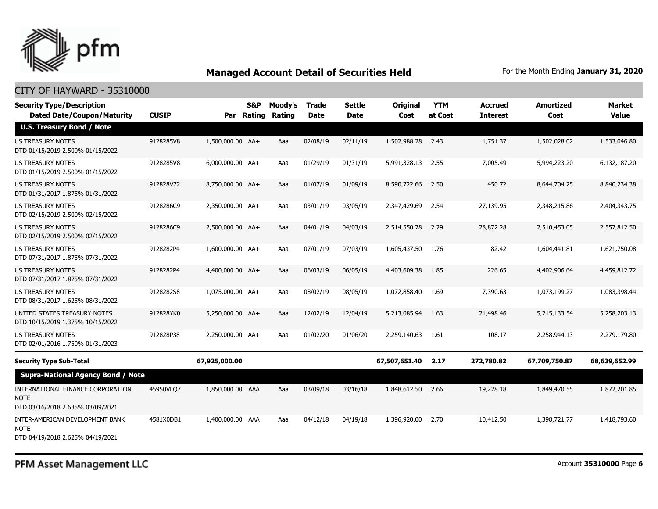

| <b>Security Type/Description</b><br><b>Dated Date/Coupon/Maturity</b>                | <b>CUSIP</b> | Par              | <b>S&amp;P</b><br>Rating | Moody's<br>Rating | <b>Trade</b><br><b>Date</b> | <b>Settle</b><br><b>Date</b> | Original<br>Cost | <b>YTM</b><br>at Cost | Accrued<br><b>Interest</b> | <b>Amortized</b><br>Cost | <b>Market</b><br><b>Value</b> |
|--------------------------------------------------------------------------------------|--------------|------------------|--------------------------|-------------------|-----------------------------|------------------------------|------------------|-----------------------|----------------------------|--------------------------|-------------------------------|
| <b>U.S. Treasury Bond / Note</b>                                                     |              |                  |                          |                   |                             |                              |                  |                       |                            |                          |                               |
| <b>US TREASURY NOTES</b><br>DTD 01/15/2019 2.500% 01/15/2022                         | 9128285V8    | 1,500,000.00 AA+ |                          | Aaa               | 02/08/19                    | 02/11/19                     | 1,502,988.28     | 2.43                  | 1,751.37                   | 1,502,028.02             | 1,533,046.80                  |
| US TREASURY NOTES<br>DTD 01/15/2019 2.500% 01/15/2022                                | 9128285V8    | 6,000,000.00 AA+ |                          | Aaa               | 01/29/19                    | 01/31/19                     | 5,991,328.13     | 2.55                  | 7,005.49                   | 5,994,223.20             | 6,132,187.20                  |
| <b>US TREASURY NOTES</b><br>DTD 01/31/2017 1.875% 01/31/2022                         | 912828V72    | 8,750,000.00 AA+ |                          | Aaa               | 01/07/19                    | 01/09/19                     | 8,590,722.66     | 2.50                  | 450.72                     | 8,644,704.25             | 8,840,234.38                  |
| <b>US TREASURY NOTES</b><br>DTD 02/15/2019 2.500% 02/15/2022                         | 9128286C9    | 2,350,000.00 AA+ |                          | Aaa               | 03/01/19                    | 03/05/19                     | 2,347,429.69     | 2.54                  | 27,139.95                  | 2,348,215.86             | 2,404,343.75                  |
| US TREASURY NOTES<br>DTD 02/15/2019 2.500% 02/15/2022                                | 9128286C9    | 2,500,000.00 AA+ |                          | Aaa               | 04/01/19                    | 04/03/19                     | 2,514,550.78     | 2.29                  | 28,872.28                  | 2,510,453.05             | 2,557,812.50                  |
| <b>US TREASURY NOTES</b><br>DTD 07/31/2017 1.875% 07/31/2022                         | 9128282P4    | 1,600,000.00 AA+ |                          | Aaa               | 07/01/19                    | 07/03/19                     | 1,605,437.50     | 1.76                  | 82.42                      | 1,604,441.81             | 1,621,750.08                  |
| <b>US TREASURY NOTES</b><br>DTD 07/31/2017 1.875% 07/31/2022                         | 9128282P4    | 4,400,000.00 AA+ |                          | Aaa               | 06/03/19                    | 06/05/19                     | 4,403,609.38     | 1.85                  | 226.65                     | 4,402,906.64             | 4,459,812.72                  |
| US TREASURY NOTES<br>DTD 08/31/2017 1.625% 08/31/2022                                | 9128282S8    | 1,075,000.00 AA+ |                          | Aaa               | 08/02/19                    | 08/05/19                     | 1,072,858.40     | 1.69                  | 7,390.63                   | 1,073,199.27             | 1,083,398.44                  |
| UNITED STATES TREASURY NOTES<br>DTD 10/15/2019 1.375% 10/15/2022                     | 912828YK0    | 5,250,000.00 AA+ |                          | Aaa               | 12/02/19                    | 12/04/19                     | 5,213,085.94     | 1.63                  | 21,498.46                  | 5,215,133.54             | 5,258,203.13                  |
| <b>US TREASURY NOTES</b><br>DTD 02/01/2016 1.750% 01/31/2023                         | 912828P38    | 2,250,000.00 AA+ |                          | Aaa               | 01/02/20                    | 01/06/20                     | 2,259,140.63     | 1.61                  | 108.17                     | 2,258,944.13             | 2,279,179.80                  |
| <b>Security Type Sub-Total</b>                                                       |              | 67,925,000.00    |                          |                   |                             |                              | 67,507,651.40    | 2.17                  | 272,780.82                 | 67,709,750.87            | 68,639,652.99                 |
| <b>Supra-National Agency Bond / Note</b>                                             |              |                  |                          |                   |                             |                              |                  |                       |                            |                          |                               |
| INTERNATIONAL FINANCE CORPORATION<br><b>NOTE</b><br>DTD 03/16/2018 2.635% 03/09/2021 | 45950VLQ7    | 1,850,000.00 AAA |                          | Aaa               | 03/09/18                    | 03/16/18                     | 1,848,612.50     | 2.66                  | 19,228.18                  | 1,849,470.55             | 1,872,201.85                  |
| INTER-AMERICAN DEVELOPMENT BANK<br><b>NOTE</b><br>DTD 04/19/2018 2.625% 04/19/2021   | 4581X0DB1    | 1,400,000.00 AAA |                          | Aaa               | 04/12/18                    | 04/19/18                     | 1,396,920.00     | 2.70                  | 10,412.50                  | 1,398,721.77             | 1,418,793.60                  |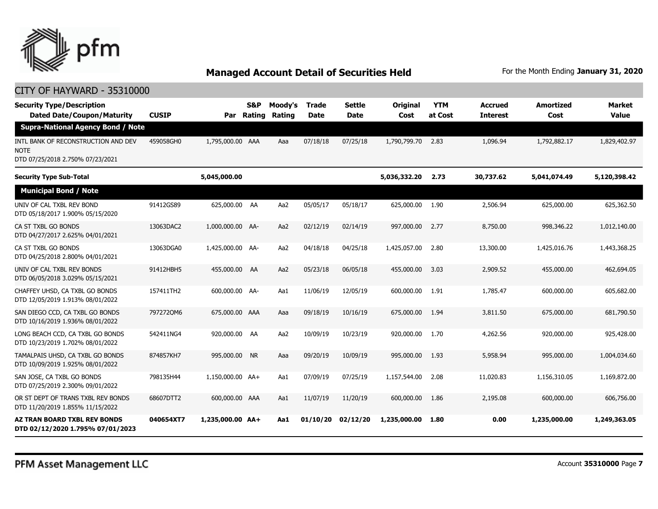

| <b>Security Type/Description</b><br><b>Dated Date/Coupon/Maturity</b>           | <b>CUSIP</b> | Par              | S&P<br>Rating | Moody's<br>Rating | <b>Trade</b><br><b>Date</b> | <b>Settle</b><br><b>Date</b> | <b>Original</b><br>Cost | <b>YTM</b><br>at Cost | <b>Accrued</b><br><b>Interest</b> | <b>Amortized</b><br>Cost | Market<br><b>Value</b> |
|---------------------------------------------------------------------------------|--------------|------------------|---------------|-------------------|-----------------------------|------------------------------|-------------------------|-----------------------|-----------------------------------|--------------------------|------------------------|
| <b>Supra-National Agency Bond / Note</b>                                        |              |                  |               |                   |                             |                              |                         |                       |                                   |                          |                        |
| INTL BANK OF RECONSTRUCTION AND DEV<br>NOTE<br>DTD 07/25/2018 2.750% 07/23/2021 | 459058GH0    | 1,795,000.00 AAA |               | Aaa               | 07/18/18                    | 07/25/18                     | 1,790,799.70            | 2.83                  | 1,096.94                          | 1,792,882.17             | 1,829,402.97           |
| <b>Security Type Sub-Total</b>                                                  |              | 5,045,000.00     |               |                   |                             |                              | 5,036,332.20            | 2.73                  | 30,737.62                         | 5,041,074.49             | 5,120,398.42           |
| <b>Municipal Bond / Note</b>                                                    |              |                  |               |                   |                             |                              |                         |                       |                                   |                          |                        |
| UNIV OF CAL TXBL REV BOND<br>DTD 05/18/2017 1.900% 05/15/2020                   | 91412GS89    | 625,000.00 AA    |               | Aa2               | 05/05/17                    | 05/18/17                     | 625,000.00              | 1.90                  | 2,506.94                          | 625,000.00               | 625,362.50             |
| CA ST TXBL GO BONDS<br>DTD 04/27/2017 2.625% 04/01/2021                         | 13063DAC2    | 1,000,000.00 AA- |               | Aa2               | 02/12/19                    | 02/14/19                     | 997,000.00              | 2.77                  | 8,750,00                          | 998,346,22               | 1,012,140,00           |
| CA ST TXBL GO BONDS<br>DTD 04/25/2018 2.800% 04/01/2021                         | 13063DGA0    | 1,425,000.00 AA- |               | Aa2               | 04/18/18                    | 04/25/18                     | 1,425,057.00            | 2.80                  | 13,300.00                         | 1,425,016.76             | 1,443,368.25           |
| UNIV OF CAL TXBL REV BONDS<br>DTD 06/05/2018 3.029% 05/15/2021                  | 91412HBH5    | 455,000.00 AA    |               | Aa2               | 05/23/18                    | 06/05/18                     | 455,000.00              | 3.03                  | 2,909.52                          | 455,000.00               | 462,694.05             |
| CHAFFEY UHSD, CA TXBL GO BONDS<br>DTD 12/05/2019 1.913% 08/01/2022              | 157411TH2    | 600,000.00 AA-   |               | Aa1               | 11/06/19                    | 12/05/19                     | 600,000.00              | 1.91                  | 1,785.47                          | 600,000,00               | 605,682.00             |
| SAN DIEGO CCD, CA TXBL GO BONDS<br>DTD 10/16/2019 1.936% 08/01/2022             | 7972720M6    | 675,000.00 AAA   |               | Aaa               | 09/18/19                    | 10/16/19                     | 675,000.00              | 1.94                  | 3,811.50                          | 675,000.00               | 681,790.50             |
| LONG BEACH CCD, CA TXBL GO BONDS<br>DTD 10/23/2019 1.702% 08/01/2022            | 542411NG4    | 920,000.00 AA    |               | Aa2               | 10/09/19                    | 10/23/19                     | 920,000.00              | 1.70                  | 4,262.56                          | 920,000.00               | 925,428.00             |
| TAMALPAIS UHSD, CA TXBL GO BONDS<br>DTD 10/09/2019 1.925% 08/01/2022            | 874857KH7    | 995,000.00 NR    |               | Aaa               | 09/20/19                    | 10/09/19                     | 995,000.00              | 1.93                  | 5,958.94                          | 995,000,00               | 1,004,034.60           |
| SAN JOSE, CA TXBL GO BONDS<br>DTD 07/25/2019 2.300% 09/01/2022                  | 798135H44    | 1,150,000.00 AA+ |               | Aa1               | 07/09/19                    | 07/25/19                     | 1,157,544.00            | 2.08                  | 11,020.83                         | 1,156,310.05             | 1,169,872.00           |
| OR ST DEPT OF TRANS TXBL REV BONDS<br>DTD 11/20/2019 1.855% 11/15/2022          | 68607DTT2    | 600,000.00 AAA   |               | Aa1               | 11/07/19                    | 11/20/19                     | 600,000.00              | 1.86                  | 2,195.08                          | 600,000.00               | 606,756.00             |
| <b>AZ TRAN BOARD TXBL REV BONDS</b><br>DTD 02/12/2020 1.795% 07/01/2023         | 040654XT7    | 1,235,000.00 AA+ |               | Aa1               | 01/10/20                    | 02/12/20                     | 1,235,000.00            | 1.80                  | 0.00                              | 1,235,000.00             | 1,249,363.05           |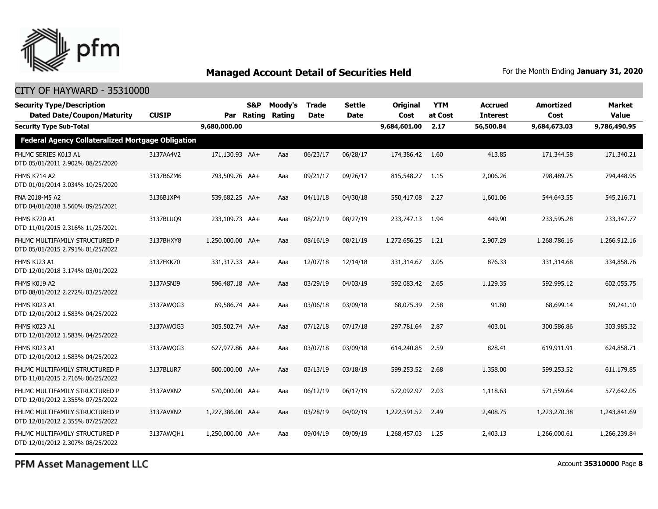

### CITY OF HAYWARD - 35310000

| <b>Security Type/Description</b><br><b>Dated Date/Coupon/Maturity</b> | <b>CUSIP</b> |                  | <b>S&amp;P</b><br>Par Rating | Moody's<br>Rating | <b>Trade</b><br><b>Date</b> | <b>Settle</b><br><b>Date</b> | <b>Original</b><br>Cost | <b>YTM</b><br>at Cost | <b>Accrued</b><br><b>Interest</b> | <b>Amortized</b><br>Cost | <b>Market</b><br>Value |  |
|-----------------------------------------------------------------------|--------------|------------------|------------------------------|-------------------|-----------------------------|------------------------------|-------------------------|-----------------------|-----------------------------------|--------------------------|------------------------|--|
| <b>Security Type Sub-Total</b>                                        |              | 9,680,000.00     |                              |                   |                             |                              | 9,684,601.00            | 2.17                  | 56,500.84                         | 9,684,673.03             | 9,786,490.95           |  |
| Federal Agency Collateralized Mortgage Obligation                     |              |                  |                              |                   |                             |                              |                         |                       |                                   |                          |                        |  |
| FHLMC SERIES K013 A1<br>DTD 05/01/2011 2.902% 08/25/2020              | 3137AA4V2    | 171,130.93 AA+   |                              | Aaa               | 06/23/17                    | 06/28/17                     | 174,386.42 1.60         |                       | 413.85                            | 171,344.58               | 171,340.21             |  |
| <b>FHMS K714 A2</b><br>DTD 01/01/2014 3.034% 10/25/2020               | 3137B6ZM6    | 793,509.76 AA+   |                              | Aaa               | 09/21/17                    | 09/26/17                     | 815,548.27              | 1.15                  | 2,006.26                          | 798,489.75               | 794,448.95             |  |
| FNA 2018-M5 A2<br>DTD 04/01/2018 3.560% 09/25/2021                    | 3136B1XP4    | 539,682.25 AA+   |                              | Aaa               | 04/11/18                    | 04/30/18                     | 550,417.08              | 2.27                  | 1,601.06                          | 544,643.55               | 545,216.71             |  |
| <b>FHMS K720 A1</b><br>DTD 11/01/2015 2.316% 11/25/2021               | 3137BLUQ9    | 233,109.73 AA+   |                              | Aaa               | 08/22/19                    | 08/27/19                     | 233,747.13              | 1.94                  | 449.90                            | 233,595.28               | 233,347.77             |  |
| FHLMC MULTIFAMILY STRUCTURED P<br>DTD 05/01/2015 2.791% 01/25/2022    | 3137BHXY8    | 1,250,000.00 AA+ |                              | Aaa               | 08/16/19                    | 08/21/19                     | 1,272,656.25            | 1.21                  | 2,907.29                          | 1,268,786.16             | 1,266,912.16           |  |
| FHMS KJ23 A1<br>DTD 12/01/2018 3.174% 03/01/2022                      | 3137FKK70    | 331,317.33 AA+   |                              | Aaa               | 12/07/18                    | 12/14/18                     | 331,314.67              | 3.05                  | 876.33                            | 331,314.68               | 334,858.76             |  |
| FHMS K019 A2<br>DTD 08/01/2012 2.272% 03/25/2022                      | 3137ASNJ9    | 596,487.18 AA+   |                              | Aaa               | 03/29/19                    | 04/03/19                     | 592,083.42              | 2.65                  | 1,129.35                          | 592,995.12               | 602,055.75             |  |
| FHMS K023 A1<br>DTD 12/01/2012 1.583% 04/25/2022                      | 3137AWQG3    | 69,586,74 AA+    |                              | Aaa               | 03/06/18                    | 03/09/18                     | 68,075.39               | 2.58                  | 91.80                             | 68,699.14                | 69,241.10              |  |
| FHMS K023 A1<br>DTD 12/01/2012 1.583% 04/25/2022                      | 3137AWQG3    | 305,502.74 AA+   |                              | Aaa               | 07/12/18                    | 07/17/18                     | 297,781.64              | 2.87                  | 403.01                            | 300,586.86               | 303,985.32             |  |
| FHMS K023 A1<br>DTD 12/01/2012 1.583% 04/25/2022                      | 3137AWQG3    | 627,977.86 AA+   |                              | Aaa               | 03/07/18                    | 03/09/18                     | 614,240.85              | 2.59                  | 828.41                            | 619,911.91               | 624,858.71             |  |
| FHLMC MULTIFAMILY STRUCTURED P<br>DTD 11/01/2015 2.716% 06/25/2022    | 3137BLUR7    | 600,000.00 AA+   |                              | Aaa               | 03/13/19                    | 03/18/19                     | 599,253.52              | 2.68                  | 1,358.00                          | 599,253.52               | 611,179.85             |  |
| FHLMC MULTIFAMILY STRUCTURED P<br>DTD 12/01/2012 2.355% 07/25/2022    | 3137AVXN2    | 570,000.00 AA+   |                              | Aaa               | 06/12/19                    | 06/17/19                     | 572,092.97              | 2.03                  | 1,118.63                          | 571,559.64               | 577,642.05             |  |
| FHLMC MULTIFAMILY STRUCTURED P<br>DTD 12/01/2012 2.355% 07/25/2022    | 3137AVXN2    | 1,227,386.00 AA+ |                              | Aaa               | 03/28/19                    | 04/02/19                     | 1,222,591.52            | 2.49                  | 2,408.75                          | 1,223,270.38             | 1,243,841.69           |  |
| FHLMC MULTIFAMILY STRUCTURED P<br>DTD 12/01/2012 2.307% 08/25/2022    | 3137AWOH1    | 1,250,000.00 AA+ |                              | Aaa               | 09/04/19                    | 09/09/19                     | 1,268,457.03            | 1.25                  | 2,403.13                          | 1,266,000.61             | 1,266,239.84           |  |

PFM Asset Management LLC

Account **35310000** Page **8**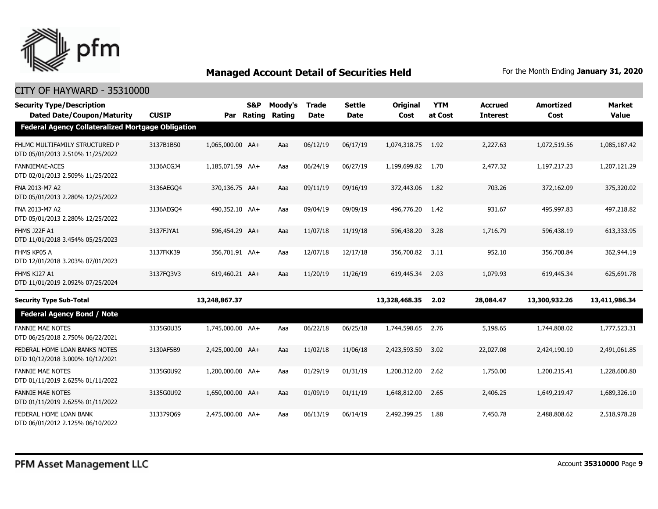

| <b>Security Type/Description</b><br><b>Dated Date/Coupon/Maturity</b> | <b>CUSIP</b> |                  | <b>S&amp;P</b><br>Par Rating | Moody's<br><b>Rating</b> | <b>Trade</b><br><b>Date</b> | <b>Settle</b><br><b>Date</b> | <b>Original</b><br>Cost | <b>YTM</b><br>at Cost | <b>Accrued</b><br><b>Interest</b> | <b>Amortized</b><br>Cost | <b>Market</b><br><b>Value</b> |
|-----------------------------------------------------------------------|--------------|------------------|------------------------------|--------------------------|-----------------------------|------------------------------|-------------------------|-----------------------|-----------------------------------|--------------------------|-------------------------------|
| <b>Federal Agency Collateralized Mortgage Obligation</b>              |              |                  |                              |                          |                             |                              |                         |                       |                                   |                          |                               |
| FHLMC MULTIFAMILY STRUCTURED P<br>DTD 05/01/2013 2.510% 11/25/2022    | 3137B1BS0    | 1,065,000.00 AA+ |                              | Aaa                      | 06/12/19                    | 06/17/19                     | 1,074,318.75            | 1.92                  | 2,227.63                          | 1,072,519.56             | 1,085,187.42                  |
| <b>FANNIEMAE-ACES</b><br>DTD 02/01/2013 2.509% 11/25/2022             | 3136ACGJ4    | 1,185,071.59 AA+ |                              | Aaa                      | 06/24/19                    | 06/27/19                     | 1,199,699.82            | 1.70                  | 2,477.32                          | 1,197,217.23             | 1,207,121.29                  |
| FNA 2013-M7 A2<br>DTD 05/01/2013 2.280% 12/25/2022                    | 3136AEGO4    | 370,136.75 AA+   |                              | Aaa                      | 09/11/19                    | 09/16/19                     | 372,443.06              | 1.82                  | 703.26                            | 372,162.09               | 375,320.02                    |
| FNA 2013-M7 A2<br>DTD 05/01/2013 2.280% 12/25/2022                    | 3136AEGO4    | 490,352.10 AA+   |                              | Aaa                      | 09/04/19                    | 09/09/19                     | 496,776.20              | 1.42                  | 931.67                            | 495,997.83               | 497,218.82                    |
| <b>FHMS J22F A1</b><br>DTD 11/01/2018 3.454% 05/25/2023               | 3137FJYA1    | 596,454.29 AA+   |                              | Aaa                      | 11/07/18                    | 11/19/18                     | 596,438.20              | 3.28                  | 1,716.79                          | 596,438.19               | 613,333.95                    |
| FHMS KP05 A<br>DTD 12/01/2018 3.203% 07/01/2023                       | 3137FKK39    | 356,701.91 AA+   |                              | Aaa                      | 12/07/18                    | 12/17/18                     | 356,700.82              | 3.11                  | 952.10                            | 356,700.84               | 362,944.19                    |
| FHMS KJ27 A1<br>DTD 11/01/2019 2.092% 07/25/2024                      | 3137FQ3V3    | 619,460.21 AA+   |                              | Aaa                      | 11/20/19                    | 11/26/19                     | 619,445.34              | 2.03                  | 1,079.93                          | 619,445.34               | 625,691.78                    |
| <b>Security Type Sub-Total</b>                                        |              | 13,248,867.37    |                              |                          |                             |                              | 13,328,468.35           | 2.02                  | 28,084.47                         | 13,300,932.26            | 13,411,986.34                 |
| <b>Federal Agency Bond / Note</b>                                     |              |                  |                              |                          |                             |                              |                         |                       |                                   |                          |                               |
| <b>FANNIE MAE NOTES</b><br>DTD 06/25/2018 2.750% 06/22/2021           | 3135G0U35    | 1,745,000.00 AA+ |                              | Aaa                      | 06/22/18                    | 06/25/18                     | 1,744,598.65            | 2.76                  | 5,198.65                          | 1,744,808.02             | 1,777,523.31                  |
| FEDERAL HOME LOAN BANKS NOTES<br>DTD 10/12/2018 3.000% 10/12/2021     | 3130AF5B9    | 2,425,000.00 AA+ |                              | Aaa                      | 11/02/18                    | 11/06/18                     | 2,423,593.50            | 3.02                  | 22,027.08                         | 2,424,190.10             | 2,491,061.85                  |
| <b>FANNIE MAE NOTES</b><br>DTD 01/11/2019 2.625% 01/11/2022           | 3135G0U92    | 1,200,000.00 AA+ |                              | Aaa                      | 01/29/19                    | 01/31/19                     | 1,200,312.00            | 2.62                  | 1,750.00                          | 1,200,215.41             | 1,228,600.80                  |
| <b>FANNIE MAE NOTES</b><br>DTD 01/11/2019 2.625% 01/11/2022           | 3135G0U92    | 1,650,000.00 AA+ |                              | Aaa                      | 01/09/19                    | 01/11/19                     | 1,648,812.00            | 2.65                  | 2,406.25                          | 1,649,219.47             | 1,689,326.10                  |
| FEDERAL HOME LOAN BANK<br>DTD 06/01/2012 2.125% 06/10/2022            | 313379069    | 2.475.000.00 AA+ |                              | Aaa                      | 06/13/19                    | 06/14/19                     | 2,492,399.25            | 1.88                  | 7,450.78                          | 2,488,808.62             | 2,518,978.28                  |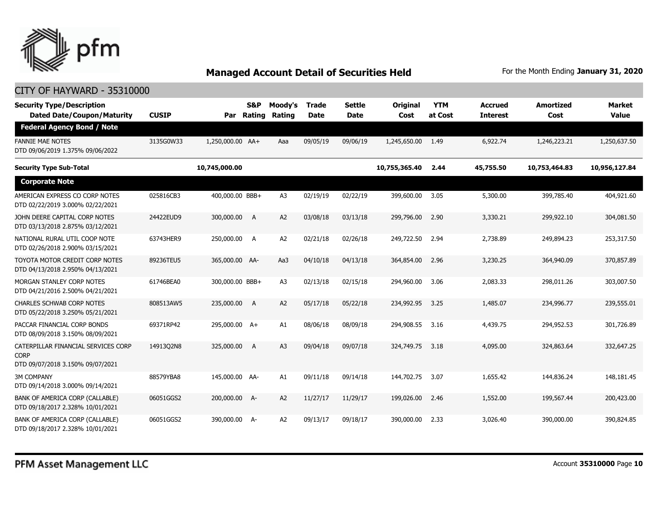

| <b>Security Type/Description</b><br><b>Dated Date/Coupon/Maturity</b>                  | <b>CUSIP</b> | Par              | S&P<br>Rating | Moody's<br>Rating | <b>Trade</b><br>Date | <b>Settle</b><br>Date | <b>Original</b><br>Cost | <b>YTM</b><br>at Cost | <b>Accrued</b><br><b>Interest</b> | <b>Amortized</b><br>Cost | <b>Market</b><br><b>Value</b> |
|----------------------------------------------------------------------------------------|--------------|------------------|---------------|-------------------|----------------------|-----------------------|-------------------------|-----------------------|-----------------------------------|--------------------------|-------------------------------|
| <b>Federal Agency Bond / Note</b>                                                      |              |                  |               |                   |                      |                       |                         |                       |                                   |                          |                               |
| <b>FANNIE MAE NOTES</b><br>DTD 09/06/2019 1.375% 09/06/2022                            | 3135G0W33    | 1,250,000.00 AA+ |               | Aaa               | 09/05/19             | 09/06/19              | 1,245,650.00            | 1.49                  | 6,922.74                          | 1,246,223.21             | 1,250,637.50                  |
| <b>Security Type Sub-Total</b>                                                         |              | 10,745,000.00    |               |                   |                      |                       | 10,755,365.40           | 2.44                  | 45,755.50                         | 10,753,464.83            | 10,956,127.84                 |
| <b>Corporate Note</b>                                                                  |              |                  |               |                   |                      |                       |                         |                       |                                   |                          |                               |
| AMERICAN EXPRESS CO CORP NOTES<br>DTD 02/22/2019 3.000% 02/22/2021                     | 025816CB3    | 400,000.00 BBB+  |               | A <sub>3</sub>    | 02/19/19             | 02/22/19              | 399,600.00              | 3.05                  | 5,300.00                          | 399,785.40               | 404,921.60                    |
| JOHN DEERE CAPITAL CORP NOTES<br>DTD 03/13/2018 2.875% 03/12/2021                      | 24422EUD9    | 300,000.00       | A             | A2                | 03/08/18             | 03/13/18              | 299,796.00              | 2.90                  | 3,330.21                          | 299,922.10               | 304,081.50                    |
| NATIONAL RURAL UTIL COOP NOTE<br>DTD 02/26/2018 2.900% 03/15/2021                      | 63743HER9    | 250,000.00       | A             | A <sub>2</sub>    | 02/21/18             | 02/26/18              | 249,722.50              | 2.94                  | 2,738.89                          | 249,894.23               | 253,317.50                    |
| TOYOTA MOTOR CREDIT CORP NOTES<br>DTD 04/13/2018 2.950% 04/13/2021                     | 89236TEU5    | 365,000.00 AA-   |               | Aa3               | 04/10/18             | 04/13/18              | 364,854.00              | 2.96                  | 3,230.25                          | 364,940.09               | 370,857.89                    |
| MORGAN STANLEY CORP NOTES<br>DTD 04/21/2016 2.500% 04/21/2021                          | 61746BEA0    | 300,000.00 BBB+  |               | A <sub>3</sub>    | 02/13/18             | 02/15/18              | 294,960,00              | 3.06                  | 2,083.33                          | 298,011.26               | 303,007.50                    |
| <b>CHARLES SCHWAB CORP NOTES</b><br>DTD 05/22/2018 3.250% 05/21/2021                   | 808513AW5    | 235,000.00       | A             | A2                | 05/17/18             | 05/22/18              | 234,992.95              | 3.25                  | 1,485.07                          | 234,996.77               | 239,555.01                    |
| PACCAR FINANCIAL CORP BONDS<br>DTD 08/09/2018 3.150% 08/09/2021                        | 69371RP42    | 295,000.00 A+    |               | A1                | 08/06/18             | 08/09/18              | 294,908.55              | 3.16                  | 4,439.75                          | 294,952.53               | 301,726.89                    |
| CATERPILLAR FINANCIAL SERVICES CORP<br><b>CORP</b><br>DTD 09/07/2018 3.150% 09/07/2021 | 14913Q2N8    | 325,000.00       | A             | A <sub>3</sub>    | 09/04/18             | 09/07/18              | 324,749.75              | 3.18                  | 4,095.00                          | 324,863.64               | 332,647.25                    |
| <b>3M COMPANY</b><br>DTD 09/14/2018 3.000% 09/14/2021                                  | 88579YBA8    | 145,000.00 AA-   |               | A1                | 09/11/18             | 09/14/18              | 144,702.75              | 3.07                  | 1,655.42                          | 144,836.24               | 148,181.45                    |
| BANK OF AMERICA CORP (CALLABLE)<br>DTD 09/18/2017 2.328% 10/01/2021                    | 06051GGS2    | 200,000.00 A-    |               | A2                | 11/27/17             | 11/29/17              | 199,026.00              | 2.46                  | 1,552.00                          | 199,567.44               | 200,423.00                    |
| BANK OF AMERICA CORP (CALLABLE)<br>DTD 09/18/2017 2.328% 10/01/2021                    | 06051GGS2    | 390,000.00 A-    |               | A2                | 09/13/17             | 09/18/17              | 390,000.00              | 2.33                  | 3,026.40                          | 390,000.00               | 390,824.85                    |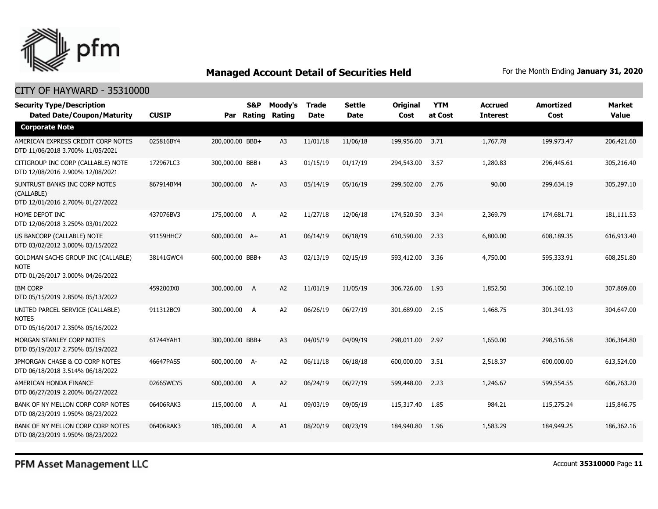

### CITY OF HAYWARD - 35310000

| <b>Security Type/Description</b><br><b>Dated Date/Coupon/Maturity</b>                 | <b>CUSIP</b> |                 | <b>S&amp;P</b><br>Par Rating | Moody's<br>Rating | <b>Trade</b><br><b>Date</b> | <b>Settle</b><br><b>Date</b> | <b>Original</b><br>Cost | <b>YTM</b><br>at Cost | <b>Accrued</b><br><b>Interest</b> | <b>Amortized</b><br>Cost | Market<br><b>Value</b> |
|---------------------------------------------------------------------------------------|--------------|-----------------|------------------------------|-------------------|-----------------------------|------------------------------|-------------------------|-----------------------|-----------------------------------|--------------------------|------------------------|
| <b>Corporate Note</b>                                                                 |              |                 |                              |                   |                             |                              |                         |                       |                                   |                          |                        |
| AMERICAN EXPRESS CREDIT CORP NOTES<br>DTD 11/06/2018 3.700% 11/05/2021                | 025816BY4    | 200,000.00 BBB+ |                              | A <sub>3</sub>    | 11/01/18                    | 11/06/18                     | 199,956.00              | 3.71                  | 1,767.78                          | 199,973.47               | 206,421.60             |
| CITIGROUP INC CORP (CALLABLE) NOTE<br>DTD 12/08/2016 2.900% 12/08/2021                | 172967LC3    | 300,000.00 BBB+ |                              | A <sub>3</sub>    | 01/15/19                    | 01/17/19                     | 294,543.00              | 3.57                  | 1,280.83                          | 296,445.61               | 305,216.40             |
| SUNTRUST BANKS INC CORP NOTES<br>(CALLABLE)<br>DTD 12/01/2016 2.700% 01/27/2022       | 867914BM4    | 300,000.00 A-   |                              | A <sub>3</sub>    | 05/14/19                    | 05/16/19                     | 299,502.00              | 2.76                  | 90.00                             | 299,634.19               | 305,297.10             |
| HOME DEPOT INC<br>DTD 12/06/2018 3.250% 03/01/2022                                    | 437076BV3    | 175,000.00 A    |                              | A2                | 11/27/18                    | 12/06/18                     | 174,520.50              | 3.34                  | 2,369.79                          | 174,681.71               | 181,111.53             |
| US BANCORP (CALLABLE) NOTE<br>DTD 03/02/2012 3.000% 03/15/2022                        | 91159HHC7    | 600,000.00 A+   |                              | A1                | 06/14/19                    | 06/18/19                     | 610,590.00              | 2.33                  | 6,800.00                          | 608,189.35               | 616,913.40             |
| GOLDMAN SACHS GROUP INC (CALLABLE)<br><b>NOTE</b><br>DTD 01/26/2017 3.000% 04/26/2022 | 38141GWC4    | 600,000.00 BBB+ |                              | A <sub>3</sub>    | 02/13/19                    | 02/15/19                     | 593,412.00              | 3.36                  | 4,750.00                          | 595,333.91               | 608,251.80             |
| <b>IBM CORP</b><br>DTD 05/15/2019 2.850% 05/13/2022                                   | 459200JX0    | 300,000.00      | A                            | A2                | 11/01/19                    | 11/05/19                     | 306,726.00              | 1.93                  | 1,852.50                          | 306,102.10               | 307,869.00             |
| UNITED PARCEL SERVICE (CALLABLE)<br><b>NOTES</b><br>DTD 05/16/2017 2.350% 05/16/2022  | 911312BC9    | 300,000.00 A    |                              | A <sub>2</sub>    | 06/26/19                    | 06/27/19                     | 301,689.00              | 2.15                  | 1,468.75                          | 301,341.93               | 304,647.00             |
| MORGAN STANLEY CORP NOTES<br>DTD 05/19/2017 2.750% 05/19/2022                         | 61744YAH1    | 300,000.00 BBB+ |                              | A <sub>3</sub>    | 04/05/19                    | 04/09/19                     | 298,011.00              | 2.97                  | 1,650,00                          | 298,516.58               | 306,364.80             |
| JPMORGAN CHASE & CO CORP NOTES<br>DTD 06/18/2018 3.514% 06/18/2022                    | 46647PAS5    | 600,000.00 A-   |                              | A <sub>2</sub>    | 06/11/18                    | 06/18/18                     | 600,000.00              | 3.51                  | 2,518.37                          | 600,000.00               | 613,524.00             |
| AMERICAN HONDA FINANCE<br>DTD 06/27/2019 2.200% 06/27/2022                            | 02665WCY5    | 600,000.00      | A                            | A <sub>2</sub>    | 06/24/19                    | 06/27/19                     | 599,448.00              | 2.23                  | 1,246.67                          | 599,554.55               | 606,763.20             |
| BANK OF NY MELLON CORP CORP NOTES<br>DTD 08/23/2019 1.950% 08/23/2022                 | 06406RAK3    | 115,000.00 A    |                              | A1                | 09/03/19                    | 09/05/19                     | 115,317.40              | 1.85                  | 984.21                            | 115,275.24               | 115,846.75             |
| BANK OF NY MELLON CORP CORP NOTES<br>DTD 08/23/2019 1.950% 08/23/2022                 | 06406RAK3    | 185,000.00      | A                            | A1                | 08/20/19                    | 08/23/19                     | 184,940.80              | 1.96                  | 1,583.29                          | 184,949.25               | 186,362.16             |

PFM Asset Management LLC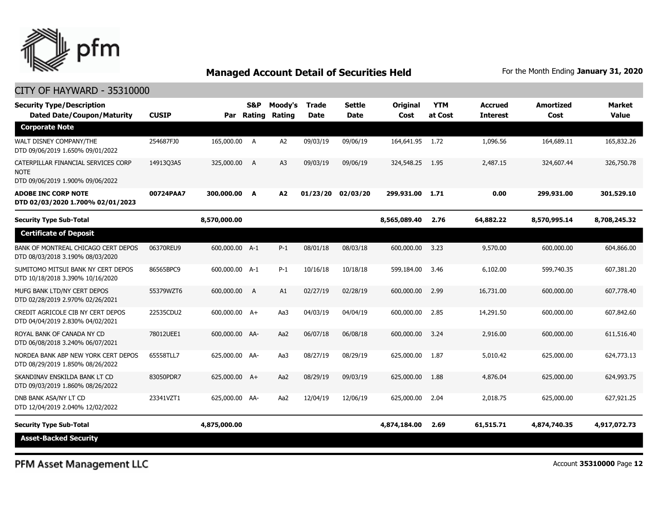

### CITY OF HAYWARD - 35310000

| <b>Security Type/Description</b><br><b>Dated Date/Coupon/Maturity</b>                  | <b>CUSIP</b> |                | S&P<br>Par Rating | Moody's<br>Rating | <b>Trade</b><br><b>Date</b> | Settle<br>Date | Original<br>Cost | <b>YTM</b><br>at Cost | <b>Accrued</b><br><b>Interest</b> | <b>Amortized</b><br>Cost | <b>Market</b><br><b>Value</b> |
|----------------------------------------------------------------------------------------|--------------|----------------|-------------------|-------------------|-----------------------------|----------------|------------------|-----------------------|-----------------------------------|--------------------------|-------------------------------|
| <b>Corporate Note</b>                                                                  |              |                |                   |                   |                             |                |                  |                       |                                   |                          |                               |
| WALT DISNEY COMPANY/THE<br>DTD 09/06/2019 1.650% 09/01/2022                            | 254687FJ0    | 165,000.00     | A                 | A2                | 09/03/19                    | 09/06/19       | 164,641.95 1.72  |                       | 1,096.56                          | 164,689.11               | 165,832.26                    |
| CATERPILLAR FINANCIAL SERVICES CORP<br><b>NOTE</b><br>DTD 09/06/2019 1.900% 09/06/2022 | 1491303A5    | 325,000.00     | A                 | A <sub>3</sub>    | 09/03/19                    | 09/06/19       | 324,548.25       | 1.95                  | 2,487.15                          | 324,607.44               | 326,750.78                    |
| <b>ADOBE INC CORP NOTE</b><br>DTD 02/03/2020 1.700% 02/01/2023                         | 00724PAA7    | 300,000.00 A   |                   | A2                | 01/23/20                    | 02/03/20       | 299,931.00       | 1.71                  | 0.00                              | 299,931.00               | 301,529.10                    |
| <b>Security Type Sub-Total</b>                                                         |              | 8,570,000.00   |                   |                   |                             |                | 8,565,089.40     | 2.76                  | 64,882.22                         | 8,570,995.14             | 8,708,245.32                  |
| <b>Certificate of Deposit</b>                                                          |              |                |                   |                   |                             |                |                  |                       |                                   |                          |                               |
| BANK OF MONTREAL CHICAGO CERT DEPOS<br>DTD 08/03/2018 3.190% 08/03/2020                | 06370REU9    | 600,000.00 A-1 |                   | $P-1$             | 08/01/18                    | 08/03/18       | 600,000.00       | 3.23                  | 9,570.00                          | 600,000.00               | 604,866.00                    |
| SUMITOMO MITSUI BANK NY CERT DEPOS<br>DTD 10/18/2018 3.390% 10/16/2020                 | 86565BPC9    | 600,000.00 A-1 |                   | $P-1$             | 10/16/18                    | 10/18/18       | 599,184.00       | 3.46                  | 6,102.00                          | 599,740.35               | 607,381.20                    |
| MUFG BANK LTD/NY CERT DEPOS<br>DTD 02/28/2019 2.970% 02/26/2021                        | 55379WZT6    | 600,000.00     | A                 | A1                | 02/27/19                    | 02/28/19       | 600,000.00       | 2.99                  | 16,731.00                         | 600,000.00               | 607,778.40                    |
| CREDIT AGRICOLE CIB NY CERT DEPOS<br>DTD 04/04/2019 2.830% 04/02/2021                  | 22535CDU2    | 600,000.00 A+  |                   | Aa3               | 04/03/19                    | 04/04/19       | 600,000.00       | 2.85                  | 14,291.50                         | 600,000.00               | 607,842.60                    |
| ROYAL BANK OF CANADA NY CD<br>DTD 06/08/2018 3.240% 06/07/2021                         | 78012UEE1    | 600,000.00 AA- |                   | Aa2               | 06/07/18                    | 06/08/18       | 600,000.00       | 3.24                  | 2,916.00                          | 600,000.00               | 611,516.40                    |
| NORDEA BANK ABP NEW YORK CERT DEPOS<br>DTD 08/29/2019 1.850% 08/26/2022                | 65558TLL7    | 625,000.00 AA- |                   | Aa3               | 08/27/19                    | 08/29/19       | 625,000.00       | 1.87                  | 5,010.42                          | 625,000.00               | 624,773.13                    |
| SKANDINAV ENSKILDA BANK LT CD<br>DTD 09/03/2019 1.860% 08/26/2022                      | 83050PDR7    | 625,000.00 A+  |                   | Aa2               | 08/29/19                    | 09/03/19       | 625,000.00       | 1.88                  | 4,876.04                          | 625,000.00               | 624,993.75                    |
| DNB BANK ASA/NY LT CD<br>DTD 12/04/2019 2.040% 12/02/2022                              | 23341VZT1    | 625,000.00 AA- |                   | Aa2               | 12/04/19                    | 12/06/19       | 625,000.00       | 2.04                  | 2,018.75                          | 625,000.00               | 627,921.25                    |
| <b>Security Type Sub-Total</b>                                                         |              | 4,875,000.00   |                   |                   |                             |                | 4,874,184.00     | 2.69                  | 61,515.71                         | 4,874,740.35             | 4,917,072.73                  |
| <b>Asset-Backed Security</b>                                                           |              |                |                   |                   |                             |                |                  |                       |                                   |                          |                               |

PFM Asset Management LLC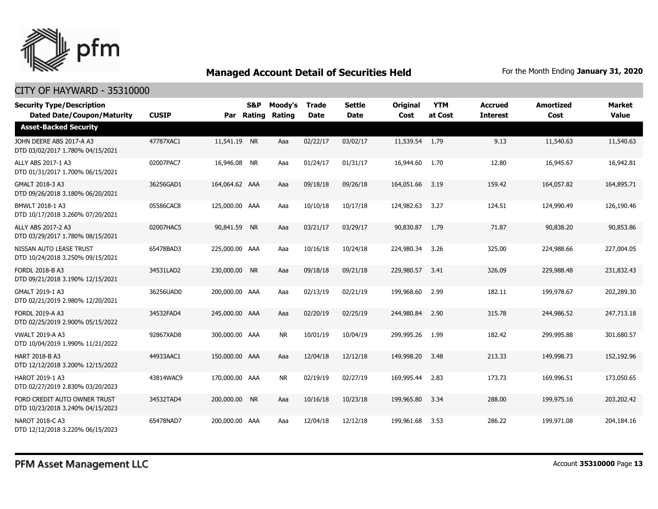

| <b>Security Type/Description</b><br><b>Dated Date/Coupon/Maturity</b> | <b>CUSIP</b> | Par            | <b>S&amp;P</b><br>Rating | Moody's<br>Rating | <b>Trade</b><br><b>Date</b> | <b>Settle</b><br><b>Date</b> | <b>Original</b><br>Cost | <b>YTM</b><br>at Cost | <b>Accrued</b><br><b>Interest</b> | <b>Amortized</b><br>Cost | <b>Market</b><br><b>Value</b> |
|-----------------------------------------------------------------------|--------------|----------------|--------------------------|-------------------|-----------------------------|------------------------------|-------------------------|-----------------------|-----------------------------------|--------------------------|-------------------------------|
| <b>Asset-Backed Security</b>                                          |              |                |                          |                   |                             |                              |                         |                       |                                   |                          |                               |
| JOHN DEERE ABS 2017-A A3<br>DTD 03/02/2017 1.780% 04/15/2021          | 47787XAC1    | 11,541.19 NR   |                          | Aaa               | 02/22/17                    | 03/02/17                     | 11,539.54 1.79          |                       | 9.13                              | 11,540.63                | 11,540.63                     |
| ALLY ABS 2017-1 A3<br>DTD 01/31/2017 1.700% 06/15/2021                | 02007PAC7    | 16,946.08 NR   |                          | Aaa               | 01/24/17                    | 01/31/17                     | 16,944.60               | 1.70                  | 12.80                             | 16,945.67                | 16,942.81                     |
| GMALT 2018-3 A3<br>DTD 09/26/2018 3.180% 06/20/2021                   | 36256GAD1    | 164,064.62 AAA |                          | Aaa               | 09/18/18                    | 09/26/18                     | 164,051.66              | 3.19                  | 159.42                            | 164,057.82               | 164,895.71                    |
| BMWLT 2018-1 A3<br>DTD 10/17/2018 3.260% 07/20/2021                   | 05586CAC8    | 125,000.00 AAA |                          | Aaa               | 10/10/18                    | 10/17/18                     | 124,982.63              | 3.27                  | 124.51                            | 124,990.49               | 126,190.46                    |
| ALLY ABS 2017-2 A3<br>DTD 03/29/2017 1.780% 08/15/2021                | 02007HAC5    | 90,841.59      | <b>NR</b>                | Aaa               | 03/21/17                    | 03/29/17                     | 90,830.87               | 1.79                  | 71.87                             | 90,838,20                | 90,853,86                     |
| NISSAN AUTO LEASE TRUST<br>DTD 10/24/2018 3.250% 09/15/2021           | 65478BAD3    | 225,000.00 AAA |                          | Aaa               | 10/16/18                    | 10/24/18                     | 224,980.34              | 3.26                  | 325.00                            | 224,988.66               | 227,004.05                    |
| <b>FORDL 2018-B A3</b><br>DTD 09/21/2018 3.190% 12/15/2021            | 34531LAD2    | 230,000.00     | <b>NR</b>                | Aaa               | 09/18/18                    | 09/21/18                     | 229,980.57              | 3.41                  | 326.09                            | 229,988.48               | 231,832.43                    |
| GMALT 2019-1 A3<br>DTD 02/21/2019 2.980% 12/20/2021                   | 36256UAD0    | 200,000.00 AAA |                          | Aaa               | 02/13/19                    | 02/21/19                     | 199,968.60              | 2.99                  | 182.11                            | 199,978.67               | 202,289.30                    |
| <b>FORDL 2019-A A3</b><br>DTD 02/25/2019 2.900% 05/15/2022            | 34532FAD4    | 245,000.00 AAA |                          | Aaa               | 02/20/19                    | 02/25/19                     | 244,980.84              | 2.90                  | 315.78                            | 244,986.52               | 247,713.18                    |
| <b>VWALT 2019-A A3</b><br>DTD 10/04/2019 1.990% 11/21/2022            | 92867XAD8    | 300,000,00 AAA |                          | <b>NR</b>         | 10/01/19                    | 10/04/19                     | 299,995.26              | 1.99                  | 182.42                            | 299,995.88               | 301,680.57                    |
| <b>HART 2018-B A3</b><br>DTD 12/12/2018 3.200% 12/15/2022             | 44933AAC1    | 150,000.00 AAA |                          | Aaa               | 12/04/18                    | 12/12/18                     | 149,998.20              | 3.48                  | 213.33                            | 149,998.73               | 152,192.96                    |
| HAROT 2019-1 A3<br>DTD 02/27/2019 2.830% 03/20/2023                   | 43814WAC9    | 170,000.00 AAA |                          | <b>NR</b>         | 02/19/19                    | 02/27/19                     | 169,995.44              | 2.83                  | 173.73                            | 169,996.51               | 173,050.65                    |
| FORD CREDIT AUTO OWNER TRUST<br>DTD 10/23/2018 3.240% 04/15/2023      | 34532TAD4    | 200,000,00 NR  |                          | Aaa               | 10/16/18                    | 10/23/18                     | 199,965.80              | 3.34                  | 288.00                            | 199,975.16               | 203,202.42                    |
| NAROT 2018-C A3<br>DTD 12/12/2018 3.220% 06/15/2023                   | 65478NAD7    | 200,000.00 AAA |                          | Aaa               | 12/04/18                    | 12/12/18                     | 199,961.68              | 3.53                  | 286.22                            | 199,971.08               | 204,184.16                    |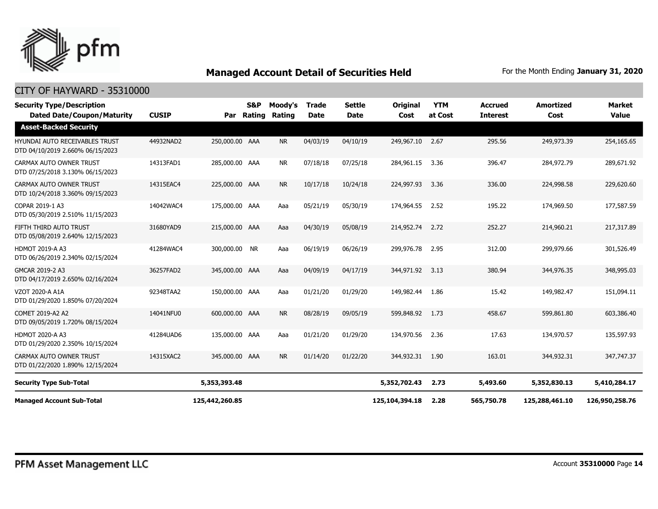

| <b>Security Type/Description</b><br><b>Dated Date/Coupon/Maturity</b>     | <b>CUSIP</b> | Par            | S&P<br>Rating | Moody's<br>Rating | <b>Trade</b><br><b>Date</b> | <b>Settle</b><br><b>Date</b> | <b>Original</b><br>Cost | <b>YTM</b><br>at Cost | <b>Accrued</b><br><b>Interest</b> | <b>Amortized</b><br>Cost | <b>Market</b><br><b>Value</b> |
|---------------------------------------------------------------------------|--------------|----------------|---------------|-------------------|-----------------------------|------------------------------|-------------------------|-----------------------|-----------------------------------|--------------------------|-------------------------------|
| <b>Asset-Backed Security</b>                                              |              |                |               |                   |                             |                              |                         |                       |                                   |                          |                               |
| <b>HYUNDAI AUTO RECEIVABLES TRUST</b><br>DTD 04/10/2019 2.660% 06/15/2023 | 44932NAD2    | 250,000.00 AAA |               | <b>NR</b>         | 04/03/19                    | 04/10/19                     | 249,967.10              | 2.67                  | 295.56                            | 249,973.39               | 254,165.65                    |
| CARMAX AUTO OWNER TRUST<br>DTD 07/25/2018 3.130% 06/15/2023               | 14313FAD1    | 285,000.00 AAA |               | <b>NR</b>         | 07/18/18                    | 07/25/18                     | 284,961.15              | 3.36                  | 396.47                            | 284,972.79               | 289,671.92                    |
| <b>CARMAX AUTO OWNER TRUST</b><br>DTD 10/24/2018 3.360% 09/15/2023        | 14315EAC4    | 225,000.00 AAA |               | <b>NR</b>         | 10/17/18                    | 10/24/18                     | 224,997.93              | 3.36                  | 336.00                            | 224,998.58               | 229,620.60                    |
| COPAR 2019-1 A3<br>DTD 05/30/2019 2.510% 11/15/2023                       | 14042WAC4    | 175,000.00 AAA |               | Aaa               | 05/21/19                    | 05/30/19                     | 174,964.55              | 2.52                  | 195.22                            | 174,969.50               | 177,587.59                    |
| FIFTH THIRD AUTO TRUST<br>DTD 05/08/2019 2.640% 12/15/2023                | 31680YAD9    | 215,000.00 AAA |               | Aaa               | 04/30/19                    | 05/08/19                     | 214,952.74              | 2.72                  | 252.27                            | 214,960.21               | 217,317.89                    |
| <b>HDMOT 2019-A A3</b><br>DTD 06/26/2019 2.340% 02/15/2024                | 41284WAC4    | 300,000.00     | <b>NR</b>     | Aaa               | 06/19/19                    | 06/26/19                     | 299,976.78              | 2.95                  | 312.00                            | 299,979.66               | 301,526.49                    |
| GMCAR 2019-2 A3<br>DTD 04/17/2019 2.650% 02/16/2024                       | 36257FAD2    | 345,000.00 AAA |               | Aaa               | 04/09/19                    | 04/17/19                     | 344,971.92              | 3.13                  | 380.94                            | 344,976.35               | 348,995.03                    |
| VZOT 2020-A A1A<br>DTD 01/29/2020 1.850% 07/20/2024                       | 92348TAA2    | 150,000.00 AAA |               | Aaa               | 01/21/20                    | 01/29/20                     | 149,982.44              | 1.86                  | 15.42                             | 149,982.47               | 151,094.11                    |
| COMET 2019-A2 A2<br>DTD 09/05/2019 1.720% 08/15/2024                      | 14041NFU0    | 600,000.00 AAA |               | <b>NR</b>         | 08/28/19                    | 09/05/19                     | 599,848.92              | 1.73                  | 458.67                            | 599,861.80               | 603,386.40                    |
| <b>HDMOT 2020-A A3</b><br>DTD 01/29/2020 2.350% 10/15/2024                | 41284UAD6    | 135,000.00 AAA |               | Aaa               | 01/21/20                    | 01/29/20                     | 134,970.56              | 2.36                  | 17.63                             | 134,970.57               | 135,597.93                    |
| CARMAX AUTO OWNER TRUST<br>DTD 01/22/2020 1.890% 12/15/2024               | 14315XAC2    | 345,000.00 AAA |               | <b>NR</b>         | 01/14/20                    | 01/22/20                     | 344,932.31              | 1.90                  | 163.01                            | 344,932.31               | 347,747.37                    |
| <b>Security Type Sub-Total</b>                                            |              | 5,353,393.48   |               |                   |                             |                              | 5,352,702.43            | 2.73                  | 5,493.60                          | 5,352,830.13             | 5,410,284.17                  |
| <b>Managed Account Sub-Total</b>                                          |              | 125,442,260.85 |               |                   |                             |                              | 125,104,394.18          | 2.28                  | 565,750.78                        | 125,288,461.10           | 126,950,258.76                |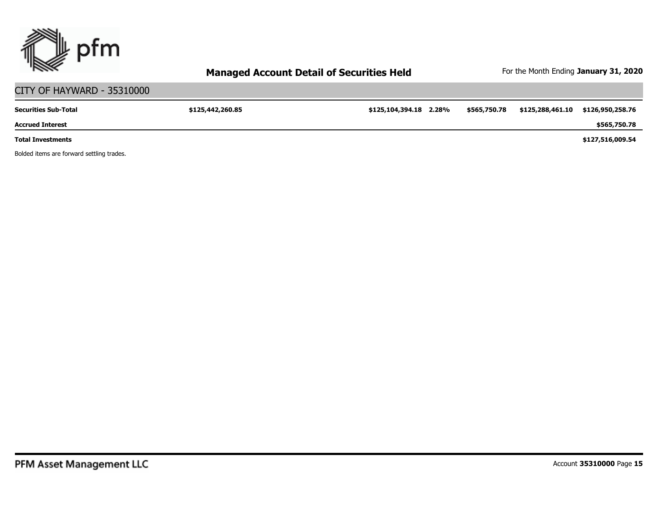

# CITY OF HAYWARD - 35310000

| <b>Securities Sub-Total</b> | \$125,442,260.85 | \$125,104,394.18 2.28% | \$565,750.78 | \$125,288,461.10 | \$126,950,258.76 |
|-----------------------------|------------------|------------------------|--------------|------------------|------------------|
| <b>Accrued Interest</b>     |                  |                        |              |                  | \$565,750.78     |
| <b>Total Investments</b>    |                  |                        |              |                  | \$127,516,009.54 |

Bolded items are forward settling trades.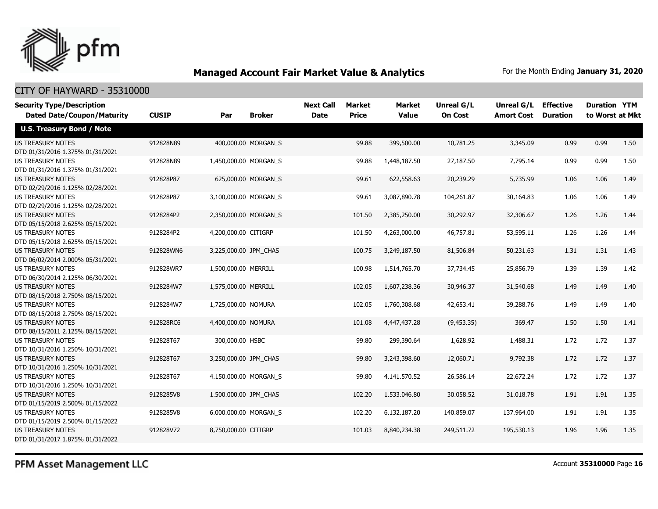

### CITY OF HAYWARD - 35310000

| <b>Security Type/Description</b>                             |              |                       |                       | <b>Next Call</b> | Market       | <b>Market</b> | Unreal G/L     | Unreal G/L        | <b>Effective</b> | <b>Duration YTM</b> |      |
|--------------------------------------------------------------|--------------|-----------------------|-----------------------|------------------|--------------|---------------|----------------|-------------------|------------------|---------------------|------|
| <b>Dated Date/Coupon/Maturity</b>                            | <b>CUSIP</b> | Par                   | <b>Broker</b>         | <b>Date</b>      | <b>Price</b> | <b>Value</b>  | <b>On Cost</b> | <b>Amort Cost</b> | <b>Duration</b>  | to Worst at Mkt     |      |
| <b>U.S. Treasury Bond / Note</b>                             |              |                       |                       |                  |              |               |                |                   |                  |                     |      |
| <b>US TREASURY NOTES</b>                                     | 912828N89    |                       | 400,000.00 MORGAN_S   |                  | 99.88        | 399,500.00    | 10,781.25      | 3,345.09          | 0.99             | 0.99                | 1.50 |
| DTD 01/31/2016 1.375% 01/31/2021                             |              |                       |                       |                  |              |               |                |                   |                  |                     |      |
| <b>US TREASURY NOTES</b>                                     | 912828N89    |                       | 1,450,000.00 MORGAN S |                  | 99.88        | 1,448,187.50  | 27,187.50      | 7,795.14          | 0.99             | 0.99                | 1.50 |
| DTD 01/31/2016 1.375% 01/31/2021                             |              |                       |                       |                  |              |               |                |                   |                  |                     |      |
| <b>US TREASURY NOTES</b>                                     | 912828P87    |                       | 625,000.00 MORGAN_S   |                  | 99.61        | 622,558.63    | 20,239.29      | 5,735.99          | 1.06             | 1.06                | 1.49 |
| DTD 02/29/2016 1.125% 02/28/2021                             |              |                       |                       |                  |              |               |                |                   |                  |                     |      |
| <b>US TREASURY NOTES</b>                                     | 912828P87    |                       | 3,100,000.00 MORGAN_S |                  | 99.61        | 3,087,890.78  | 104,261.87     | 30,164.83         | 1.06             | 1.06                | 1.49 |
| DTD 02/29/2016 1.125% 02/28/2021                             |              |                       |                       |                  |              |               |                |                   |                  |                     |      |
| <b>US TREASURY NOTES</b>                                     | 9128284P2    |                       | 2,350,000.00 MORGAN S |                  | 101.50       | 2,385,250.00  | 30,292.97      | 32,306.67         | 1.26             | 1.26                | 1.44 |
| DTD 05/15/2018 2.625% 05/15/2021                             |              |                       |                       |                  |              |               |                |                   |                  |                     |      |
| <b>US TREASURY NOTES</b>                                     | 9128284P2    | 4,200,000.00 CITIGRP  |                       |                  | 101.50       | 4,263,000.00  | 46,757.81      | 53,595.11         | 1.26             | 1.26                | 1.44 |
| DTD 05/15/2018 2.625% 05/15/2021                             |              |                       |                       |                  |              |               |                |                   |                  |                     |      |
| <b>US TREASURY NOTES</b>                                     | 912828WN6    | 3,225,000.00 JPM CHAS |                       |                  | 100.75       | 3,249,187.50  | 81,506.84      | 50,231.63         | 1.31             | 1.31                | 1.43 |
| DTD 06/02/2014 2.000% 05/31/2021                             |              |                       |                       |                  |              |               |                |                   |                  |                     |      |
| <b>US TREASURY NOTES</b>                                     | 912828WR7    | 1,500,000.00 MERRILL  |                       |                  | 100.98       | 1,514,765.70  | 37,734.45      | 25,856.79         | 1.39             | 1.39                | 1.42 |
| DTD 06/30/2014 2.125% 06/30/2021                             |              |                       |                       |                  |              |               |                |                   |                  |                     |      |
| <b>US TREASURY NOTES</b>                                     | 9128284W7    | 1,575,000.00 MERRILL  |                       |                  | 102.05       | 1,607,238.36  | 30,946.37      | 31,540.68         | 1.49             | 1.49                | 1.40 |
| DTD 08/15/2018 2.750% 08/15/2021                             |              |                       |                       |                  |              |               |                |                   |                  |                     |      |
| <b>US TREASURY NOTES</b>                                     | 9128284W7    | 1,725,000.00 NOMURA   |                       |                  | 102.05       | 1,760,308.68  | 42,653.41      | 39,288.76         | 1.49             | 1.49                | 1.40 |
| DTD 08/15/2018 2.750% 08/15/2021                             |              |                       |                       |                  |              |               |                |                   |                  |                     |      |
| <b>US TREASURY NOTES</b>                                     | 912828RC6    | 4,400,000.00 NOMURA   |                       |                  | 101.08       | 4,447,437.28  | (9,453.35)     | 369.47            | 1.50             | 1.50                | 1.41 |
| DTD 08/15/2011 2.125% 08/15/2021                             |              |                       |                       |                  |              |               |                |                   |                  |                     |      |
| <b>US TREASURY NOTES</b>                                     | 912828T67    | 300,000.00 HSBC       |                       |                  | 99.80        | 299,390.64    | 1,628.92       | 1,488.31          | 1.72             | 1.72                | 1.37 |
| DTD 10/31/2016 1.250% 10/31/2021<br><b>US TREASURY NOTES</b> | 912828T67    | 3,250,000.00 JPM_CHAS |                       |                  | 99.80        | 3,243,398.60  | 12,060.71      | 9,792.38          | 1.72             | 1.72                | 1.37 |
| DTD 10/31/2016 1.250% 10/31/2021                             |              |                       |                       |                  |              |               |                |                   |                  |                     |      |
| <b>US TREASURY NOTES</b>                                     | 912828T67    |                       | 4,150,000.00 MORGAN S |                  | 99.80        | 4,141,570.52  | 26,586.14      | 22,672.24         | 1.72             | 1.72                | 1.37 |
| DTD 10/31/2016 1.250% 10/31/2021                             |              |                       |                       |                  |              |               |                |                   |                  |                     |      |
| <b>US TREASURY NOTES</b>                                     | 9128285V8    | 1,500,000.00 JPM CHAS |                       |                  | 102.20       | 1,533,046.80  | 30,058.52      | 31,018.78         | 1.91             | 1.91                | 1.35 |
| DTD 01/15/2019 2.500% 01/15/2022                             |              |                       |                       |                  |              |               |                |                   |                  |                     |      |
| <b>US TREASURY NOTES</b>                                     | 9128285V8    |                       | 6,000,000.00 MORGAN S |                  | 102.20       | 6,132,187.20  | 140,859.07     | 137,964.00        | 1.91             | 1.91                | 1.35 |
| DTD 01/15/2019 2.500% 01/15/2022                             |              |                       |                       |                  |              |               |                |                   |                  |                     |      |
| <b>US TREASURY NOTES</b>                                     | 912828V72    | 8,750,000.00 CITIGRP  |                       |                  | 101.03       | 8,840,234.38  | 249,511.72     | 195,530.13        | 1.96             | 1.96                | 1.35 |
| DTD 01/31/2017 1.875% 01/31/2022                             |              |                       |                       |                  |              |               |                |                   |                  |                     |      |

PFM Asset Management LLC

Account **35310000** Page **16**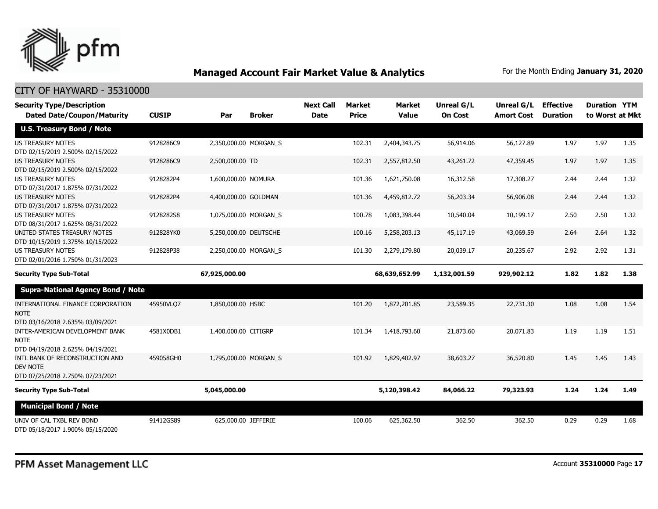

| <b>Security Type/Description</b>                                                       |              |                       |               | <b>Next Call</b> | <b>Market</b> | <b>Market</b> | <b>Unreal G/L</b> | Unreal G/L        | <b>Effective</b> | <b>Duration YTM</b> |      |
|----------------------------------------------------------------------------------------|--------------|-----------------------|---------------|------------------|---------------|---------------|-------------------|-------------------|------------------|---------------------|------|
| <b>Dated Date/Coupon/Maturity</b>                                                      | <b>CUSIP</b> | Par                   | <b>Broker</b> | <b>Date</b>      | <b>Price</b>  | <b>Value</b>  | <b>On Cost</b>    | <b>Amort Cost</b> | <b>Duration</b>  | to Worst at Mkt     |      |
| <b>U.S. Treasury Bond / Note</b>                                                       |              |                       |               |                  |               |               |                   |                   |                  |                     |      |
| <b>US TREASURY NOTES</b><br>DTD 02/15/2019 2.500% 02/15/2022                           | 9128286C9    | 2,350,000.00 MORGAN S |               |                  | 102.31        | 2,404,343.75  | 56,914.06         | 56,127.89         | 1.97             | 1.97                | 1.35 |
| <b>US TREASURY NOTES</b><br>DTD 02/15/2019 2.500% 02/15/2022                           | 9128286C9    | 2,500,000.00 TD       |               |                  | 102.31        | 2,557,812.50  | 43,261.72         | 47,359.45         | 1.97             | 1.97                | 1.35 |
| <b>US TREASURY NOTES</b><br>DTD 07/31/2017 1.875% 07/31/2022                           | 9128282P4    | 1,600,000.00 NOMURA   |               |                  | 101.36        | 1,621,750.08  | 16,312.58         | 17,308.27         | 2.44             | 2.44                | 1.32 |
| <b>US TREASURY NOTES</b><br>DTD 07/31/2017 1.875% 07/31/2022                           | 9128282P4    | 4,400,000.00 GOLDMAN  |               |                  | 101.36        | 4,459,812.72  | 56,203.34         | 56,906.08         | 2.44             | 2.44                | 1.32 |
| <b>US TREASURY NOTES</b><br>DTD 08/31/2017 1.625% 08/31/2022                           | 9128282S8    | 1,075,000.00 MORGAN S |               |                  | 100.78        | 1,083,398.44  | 10,540.04         | 10,199.17         | 2.50             | 2.50                | 1.32 |
| UNITED STATES TREASURY NOTES<br>DTD 10/15/2019 1.375% 10/15/2022                       | 912828YK0    | 5,250,000.00 DEUTSCHE |               |                  | 100.16        | 5,258,203.13  | 45,117.19         | 43,069.59         | 2.64             | 2.64                | 1.32 |
| <b>US TREASURY NOTES</b><br>DTD 02/01/2016 1.750% 01/31/2023                           | 912828P38    | 2,250,000.00 MORGAN_S |               |                  | 101.30        | 2,279,179.80  | 20,039.17         | 20,235.67         | 2.92             | 2.92                | 1.31 |
| <b>Security Type Sub-Total</b>                                                         |              | 67,925,000.00         |               |                  |               | 68,639,652.99 | 1,132,001.59      | 929,902.12        | 1.82             | 1.82                | 1.38 |
| <b>Supra-National Agency Bond / Note</b>                                               |              |                       |               |                  |               |               |                   |                   |                  |                     |      |
| INTERNATIONAL FINANCE CORPORATION<br><b>NOTE</b><br>DTD 03/16/2018 2.635% 03/09/2021   | 45950VLQ7    | 1,850,000.00 HSBC     |               |                  | 101.20        | 1,872,201.85  | 23,589.35         | 22,731.30         | 1.08             | 1.08                | 1.54 |
| INTER-AMERICAN DEVELOPMENT BANK<br><b>NOTE</b><br>DTD 04/19/2018 2.625% 04/19/2021     | 4581X0DB1    | 1,400,000.00 CITIGRP  |               |                  | 101.34        | 1,418,793.60  | 21,873.60         | 20,071.83         | 1.19             | 1.19                | 1.51 |
| INTL BANK OF RECONSTRUCTION AND<br><b>DEV NOTE</b><br>DTD 07/25/2018 2.750% 07/23/2021 | 459058GH0    | 1,795,000.00 MORGAN_S |               |                  | 101.92        | 1,829,402.97  | 38,603.27         | 36,520.80         | 1.45             | 1.45                | 1.43 |
| <b>Security Type Sub-Total</b>                                                         |              | 5,045,000.00          |               |                  |               | 5,120,398.42  | 84,066.22         | 79,323.93         | 1.24             | 1.24                | 1.49 |
| <b>Municipal Bond / Note</b>                                                           |              |                       |               |                  |               |               |                   |                   |                  |                     |      |
| UNIV OF CAL TXBL REV BOND<br>DTD 05/18/2017 1.900% 05/15/2020                          | 91412GS89    | 625,000.00 JEFFERIE   |               |                  | 100.06        | 625,362.50    | 362.50            | 362.50            | 0.29             | 0.29                | 1.68 |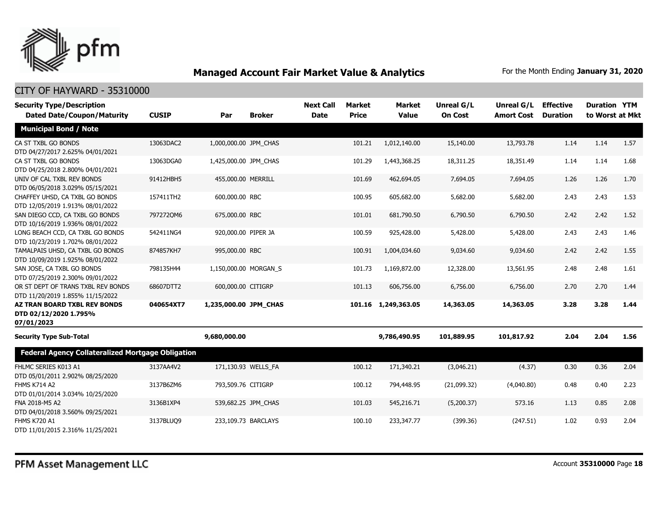

| <b>Security Type/Description</b><br><b>Dated Date/Coupon/Maturity</b>      | <b>CUSIP</b> | Par                   | <b>Broker</b>         | <b>Next Call</b><br><b>Date</b> | Market<br><b>Price</b> | <b>Market</b><br><b>Value</b> | Unreal G/L<br><b>On Cost</b> | Unreal G/L<br><b>Amort Cost</b> | <b>Effective</b><br><b>Duration</b> | <b>Duration YTM</b><br>to Worst at Mkt |      |
|----------------------------------------------------------------------------|--------------|-----------------------|-----------------------|---------------------------------|------------------------|-------------------------------|------------------------------|---------------------------------|-------------------------------------|----------------------------------------|------|
| <b>Municipal Bond / Note</b>                                               |              |                       |                       |                                 |                        |                               |                              |                                 |                                     |                                        |      |
| CA ST TXBL GO BONDS<br>DTD 04/27/2017 2.625% 04/01/2021                    | 13063DAC2    | 1,000,000.00 JPM_CHAS |                       |                                 | 101.21                 | 1,012,140.00                  | 15,140.00                    | 13,793.78                       | 1.14                                | 1.14                                   | 1.57 |
| CA ST TXBL GO BONDS<br>DTD 04/25/2018 2.800% 04/01/2021                    | 13063DGA0    | 1,425,000.00 JPM_CHAS |                       |                                 | 101.29                 | 1,443,368.25                  | 18,311.25                    | 18,351.49                       | 1.14                                | 1.14                                   | 1.68 |
| UNIV OF CAL TXBL REV BONDS<br>DTD 06/05/2018 3.029% 05/15/2021             | 91412HBH5    | 455,000.00 MERRILL    |                       |                                 | 101.69                 | 462,694.05                    | 7,694.05                     | 7,694.05                        | 1.26                                | 1.26                                   | 1.70 |
| CHAFFEY UHSD, CA TXBL GO BONDS<br>DTD 12/05/2019 1.913% 08/01/2022         | 157411TH2    | 600,000.00 RBC        |                       |                                 | 100.95                 | 605,682.00                    | 5,682.00                     | 5,682.00                        | 2.43                                | 2.43                                   | 1.53 |
| SAN DIEGO CCD, CA TXBL GO BONDS<br>DTD 10/16/2019 1.936% 08/01/2022        | 7972720M6    | 675,000.00 RBC        |                       |                                 | 101.01                 | 681,790.50                    | 6,790.50                     | 6,790.50                        | 2.42                                | 2.42                                   | 1.52 |
| LONG BEACH CCD, CA TXBL GO BONDS<br>DTD 10/23/2019 1.702% 08/01/2022       | 542411NG4    | 920,000.00 PIPER JA   |                       |                                 | 100.59                 | 925,428.00                    | 5,428.00                     | 5,428.00                        | 2.43                                | 2.43                                   | 1.46 |
| TAMALPAIS UHSD, CA TXBL GO BONDS<br>DTD 10/09/2019 1.925% 08/01/2022       | 874857KH7    | 995,000.00 RBC        |                       |                                 | 100.91                 | 1,004,034.60                  | 9,034.60                     | 9,034.60                        | 2.42                                | 2.42                                   | 1.55 |
| SAN JOSE, CA TXBL GO BONDS<br>DTD 07/25/2019 2.300% 09/01/2022             | 798135H44    |                       | 1,150,000.00 MORGAN_S |                                 | 101.73                 | 1,169,872.00                  | 12,328.00                    | 13,561.95                       | 2.48                                | 2.48                                   | 1.61 |
| OR ST DEPT OF TRANS TXBL REV BONDS<br>DTD 11/20/2019 1.855% 11/15/2022     | 68607DTT2    | 600,000.00 CITIGRP    |                       |                                 | 101.13                 | 606,756.00                    | 6,756.00                     | 6,756.00                        | 2.70                                | 2.70                                   | 1.44 |
| <b>AZ TRAN BOARD TXBL REV BONDS</b><br>DTD 02/12/2020 1.795%<br>07/01/2023 | 040654XT7    | 1,235,000.00 JPM_CHAS |                       |                                 |                        | 101.16 1,249,363.05           | 14,363.05                    | 14,363.05                       | 3.28                                | 3.28                                   | 1.44 |
| <b>Security Type Sub-Total</b>                                             |              | 9,680,000.00          |                       |                                 |                        | 9,786,490.95                  | 101,889.95                   | 101,817.92                      | 2.04                                | 2.04                                   | 1.56 |
| <b>Federal Agency Collateralized Mortgage Obligation</b>                   |              |                       |                       |                                 |                        |                               |                              |                                 |                                     |                                        |      |
| FHLMC SERIES K013 A1<br>DTD 05/01/2011 2.902% 08/25/2020                   | 3137AA4V2    |                       | 171,130.93 WELLS FA   |                                 | 100.12                 | 171,340.21                    | (3,046.21)                   | (4.37)                          | 0.30                                | 0.36                                   | 2.04 |
| FHMS K714 A2<br>DTD 01/01/2014 3.034% 10/25/2020                           | 3137B6ZM6    | 793,509.76 CITIGRP    |                       |                                 | 100.12                 | 794,448.95                    | (21,099.32)                  | (4,040.80)                      | 0.48                                | 0.40                                   | 2.23 |
| FNA 2018-M5 A2<br>DTD 04/01/2018 3.560% 09/25/2021                         | 3136B1XP4    |                       | 539,682.25 JPM_CHAS   |                                 | 101.03                 | 545,216.71                    | (5,200.37)                   | 573.16                          | 1.13                                | 0.85                                   | 2.08 |
| <b>FHMS K720 A1</b><br>DTD 11/01/2015 2.316% 11/25/2021                    | 3137BLUQ9    |                       | 233,109.73 BARCLAYS   |                                 | 100.10                 | 233,347.77                    | (399.36)                     | (247.51)                        | 1.02                                | 0.93                                   | 2.04 |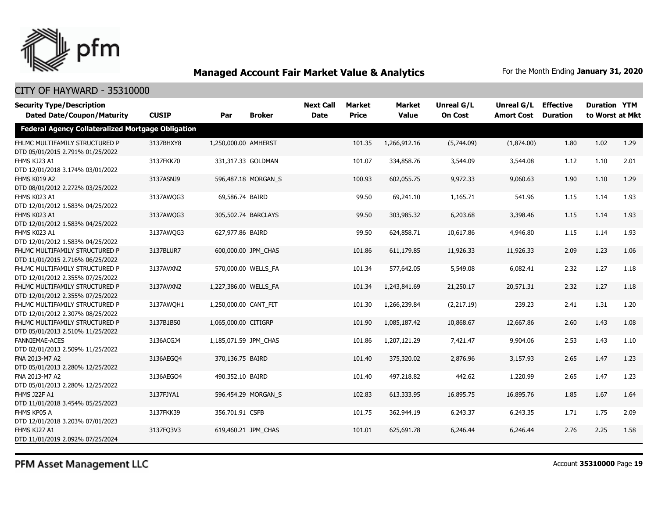

# CITY OF HAYWARD - 35310000

| <b>Security Type/Description</b>                                   |              |                       |                     | <b>Next Call</b> | <b>Market</b> | <b>Market</b> | Unreal G/L     | Unreal G/L        | <b>Effective</b> | <b>Duration YTM</b> |      |
|--------------------------------------------------------------------|--------------|-----------------------|---------------------|------------------|---------------|---------------|----------------|-------------------|------------------|---------------------|------|
| <b>Dated Date/Coupon/Maturity</b>                                  | <b>CUSIP</b> | Par                   | <b>Broker</b>       | <b>Date</b>      | <b>Price</b>  | <b>Value</b>  | <b>On Cost</b> | <b>Amort Cost</b> | <b>Duration</b>  | to Worst at Mkt     |      |
| <b>Federal Agency Collateralized Mortgage Obligation</b>           |              |                       |                     |                  |               |               |                |                   |                  |                     |      |
| FHLMC MULTIFAMILY STRUCTURED P<br>DTD 05/01/2015 2.791% 01/25/2022 | 3137BHXY8    | 1,250,000.00 AMHERST  |                     |                  | 101.35        | 1,266,912.16  | (5,744.09)     | (1,874.00)        | 1.80             | 1.02                | 1.29 |
| FHMS KJ23 A1<br>DTD 12/01/2018 3.174% 03/01/2022                   | 3137FKK70    |                       | 331,317.33 GOLDMAN  |                  | 101.07        | 334,858.76    | 3,544.09       | 3,544.08          | 1.12             | 1.10                | 2.01 |
| FHMS K019 A2<br>DTD 08/01/2012 2.272% 03/25/2022                   | 3137ASNJ9    |                       | 596,487.18 MORGAN_S |                  | 100.93        | 602,055.75    | 9,972.33       | 9,060.63          | 1.90             | 1.10                | 1.29 |
| FHMS K023 A1<br>DTD 12/01/2012 1.583% 04/25/2022                   | 3137AWQG3    | 69,586.74 BAIRD       |                     |                  | 99.50         | 69,241.10     | 1,165.71       | 541.96            | 1.15             | 1.14                | 1.93 |
| FHMS K023 A1<br>DTD 12/01/2012 1.583% 04/25/2022                   | 3137AWQG3    |                       | 305,502.74 BARCLAYS |                  | 99.50         | 303,985.32    | 6,203.68       | 3,398.46          | 1.15             | 1.14                | 1.93 |
| FHMS K023 A1<br>DTD 12/01/2012 1.583% 04/25/2022                   | 3137AWQG3    | 627,977.86 BAIRD      |                     |                  | 99.50         | 624,858.71    | 10,617.86      | 4,946.80          | 1.15             | 1.14                | 1.93 |
| FHLMC MULTIFAMILY STRUCTURED P<br>DTD 11/01/2015 2.716% 06/25/2022 | 3137BLUR7    |                       | 600,000.00 JPM CHAS |                  | 101.86        | 611,179.85    | 11,926.33      | 11,926.33         | 2.09             | 1.23                | 1.06 |
| FHLMC MULTIFAMILY STRUCTURED P<br>DTD 12/01/2012 2.355% 07/25/2022 | 3137AVXN2    |                       | 570,000.00 WELLS FA |                  | 101.34        | 577,642.05    | 5,549.08       | 6,082.41          | 2.32             | 1.27                | 1.18 |
| FHLMC MULTIFAMILY STRUCTURED P<br>DTD 12/01/2012 2.355% 07/25/2022 | 3137AVXN2    | 1,227,386.00 WELLS FA |                     |                  | 101.34        | 1,243,841.69  | 21,250.17      | 20,571.31         | 2.32             | 1.27                | 1.18 |
| FHLMC MULTIFAMILY STRUCTURED P<br>DTD 12/01/2012 2.307% 08/25/2022 | 3137AWOH1    | 1,250,000.00 CANT_FIT |                     |                  | 101.30        | 1,266,239.84  | (2,217.19)     | 239.23            | 2.41             | 1.31                | 1.20 |
| FHLMC MULTIFAMILY STRUCTURED P<br>DTD 05/01/2013 2.510% 11/25/2022 | 3137B1BS0    | 1,065,000.00 CITIGRP  |                     |                  | 101.90        | 1,085,187.42  | 10,868.67      | 12,667.86         | 2.60             | 1.43                | 1.08 |
| <b>FANNIEMAE-ACES</b><br>DTD 02/01/2013 2.509% 11/25/2022          | 3136ACGJ4    | 1,185,071.59 JPM CHAS |                     |                  | 101.86        | 1,207,121.29  | 7,421.47       | 9,904.06          | 2.53             | 1.43                | 1.10 |
| FNA 2013-M7 A2<br>DTD 05/01/2013 2.280% 12/25/2022                 | 3136AEGO4    | 370,136.75 BAIRD      |                     |                  | 101.40        | 375,320.02    | 2,876.96       | 3,157.93          | 2.65             | 1.47                | 1.23 |
| FNA 2013-M7 A2<br>DTD 05/01/2013 2.280% 12/25/2022                 | 3136AEGQ4    | 490,352.10 BAIRD      |                     |                  | 101.40        | 497,218.82    | 442.62         | 1,220.99          | 2.65             | 1.47                | 1.23 |
| <b>FHMS J22F A1</b><br>DTD 11/01/2018 3.454% 05/25/2023            | 3137FJYA1    |                       | 596,454.29 MORGAN S |                  | 102.83        | 613,333.95    | 16,895.75      | 16,895.76         | 1.85             | 1.67                | 1.64 |
| FHMS KP05 A<br>DTD 12/01/2018 3.203% 07/01/2023                    | 3137FKK39    | 356,701.91 CSFB       |                     |                  | 101.75        | 362,944.19    | 6,243.37       | 6,243.35          | 1.71             | 1.75                | 2.09 |
| FHMS KJ27 A1<br>DTD 11/01/2019 2.092% 07/25/2024                   | 3137FQ3V3    |                       | 619,460.21 JPM_CHAS |                  | 101.01        | 625,691.78    | 6,246.44       | 6,246.44          | 2.76             | 2.25                | 1.58 |

PFM Asset Management LLC

Account **35310000** Page **19**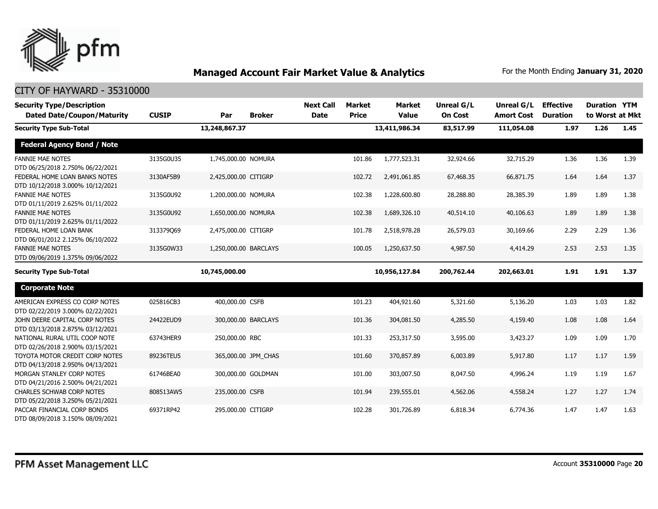

| <b>Security Type/Description</b><br><b>Dated Date/Coupon/Maturity</b> | <b>CUSIP</b> | Par                   | <b>Broker</b>       | <b>Next Call</b><br><b>Date</b> | Market<br><b>Price</b> | Market<br><b>Value</b> | <b>Unreal G/L</b><br><b>On Cost</b> | <b>Unreal G/L</b><br><b>Amort Cost</b> | <b>Effective</b><br><b>Duration</b> | <b>Duration YTM</b><br>to Worst at Mkt |      |
|-----------------------------------------------------------------------|--------------|-----------------------|---------------------|---------------------------------|------------------------|------------------------|-------------------------------------|----------------------------------------|-------------------------------------|----------------------------------------|------|
| <b>Security Type Sub-Total</b>                                        |              | 13,248,867.37         |                     |                                 |                        | 13,411,986.34          | 83,517.99                           | 111,054.08                             | 1.97                                | 1.26                                   | 1.45 |
| <b>Federal Agency Bond / Note</b>                                     |              |                       |                     |                                 |                        |                        |                                     |                                        |                                     |                                        |      |
| <b>FANNIE MAE NOTES</b><br>DTD 06/25/2018 2.750% 06/22/2021           | 3135G0U35    | 1,745,000.00 NOMURA   |                     |                                 | 101.86                 | 1,777,523.31           | 32,924.66                           | 32,715.29                              | 1.36                                | 1.36                                   | 1.39 |
| FEDERAL HOME LOAN BANKS NOTES<br>DTD 10/12/2018 3.000% 10/12/2021     | 3130AF5B9    | 2,425,000.00 CITIGRP  |                     |                                 | 102.72                 | 2,491,061.85           | 67,468.35                           | 66,871.75                              | 1.64                                | 1.64                                   | 1.37 |
| <b>FANNIE MAE NOTES</b><br>DTD 01/11/2019 2.625% 01/11/2022           | 3135G0U92    | 1,200,000.00 NOMURA   |                     |                                 | 102.38                 | 1,228,600.80           | 28,288.80                           | 28,385.39                              | 1.89                                | 1.89                                   | 1.38 |
| <b>FANNIE MAE NOTES</b><br>DTD 01/11/2019 2.625% 01/11/2022           | 3135G0U92    | 1,650,000.00 NOMURA   |                     |                                 | 102.38                 | 1,689,326.10           | 40,514.10                           | 40,106.63                              | 1.89                                | 1.89                                   | 1.38 |
| FEDERAL HOME LOAN BANK<br>DTD 06/01/2012 2.125% 06/10/2022            | 313379069    | 2,475,000.00 CITIGRP  |                     |                                 | 101.78                 | 2,518,978.28           | 26,579.03                           | 30,169.66                              | 2.29                                | 2.29                                   | 1.36 |
| <b>FANNIE MAE NOTES</b><br>DTD 09/06/2019 1.375% 09/06/2022           | 3135G0W33    | 1,250,000.00 BARCLAYS |                     |                                 | 100.05                 | 1,250,637.50           | 4,987.50                            | 4,414.29                               | 2.53                                | 2.53                                   | 1.35 |
| <b>Security Type Sub-Total</b>                                        |              | 10,745,000.00         |                     |                                 |                        | 10,956,127.84          | 200,762.44                          | 202,663.01                             | 1.91                                | 1.91                                   | 1.37 |
| <b>Corporate Note</b>                                                 |              |                       |                     |                                 |                        |                        |                                     |                                        |                                     |                                        |      |
| AMERICAN EXPRESS CO CORP NOTES<br>DTD 02/22/2019 3.000% 02/22/2021    | 025816CB3    | 400,000.00 CSFB       |                     |                                 | 101.23                 | 404,921.60             | 5,321.60                            | 5,136.20                               | 1.03                                | 1.03                                   | 1.82 |
| JOHN DEERE CAPITAL CORP NOTES<br>DTD 03/13/2018 2.875% 03/12/2021     | 24422EUD9    |                       | 300,000.00 BARCLAYS |                                 | 101.36                 | 304,081.50             | 4,285.50                            | 4,159.40                               | 1.08                                | 1.08                                   | 1.64 |
| NATIONAL RURAL UTIL COOP NOTE<br>DTD 02/26/2018 2.900% 03/15/2021     | 63743HER9    | 250,000.00 RBC        |                     |                                 | 101.33                 | 253,317.50             | 3,595.00                            | 3,423.27                               | 1.09                                | 1.09                                   | 1.70 |
| TOYOTA MOTOR CREDIT CORP NOTES<br>DTD 04/13/2018 2.950% 04/13/2021    | 89236TEU5    |                       | 365,000.00 JPM_CHAS |                                 | 101.60                 | 370,857.89             | 6,003.89                            | 5,917.80                               | 1.17                                | 1.17                                   | 1.59 |
| MORGAN STANLEY CORP NOTES<br>DTD 04/21/2016 2.500% 04/21/2021         | 61746BEA0    |                       | 300,000.00 GOLDMAN  |                                 | 101.00                 | 303,007.50             | 8,047.50                            | 4,996.24                               | 1.19                                | 1.19                                   | 1.67 |
| <b>CHARLES SCHWAB CORP NOTES</b><br>DTD 05/22/2018 3.250% 05/21/2021  | 808513AW5    | 235,000.00 CSFB       |                     |                                 | 101.94                 | 239,555.01             | 4,562.06                            | 4,558.24                               | 1.27                                | 1.27                                   | 1.74 |
| PACCAR FINANCIAL CORP BONDS<br>DTD 08/09/2018 3.150% 08/09/2021       | 69371RP42    | 295,000.00 CITIGRP    |                     |                                 | 102.28                 | 301,726.89             | 6,818.34                            | 6,774.36                               | 1.47                                | 1.47                                   | 1.63 |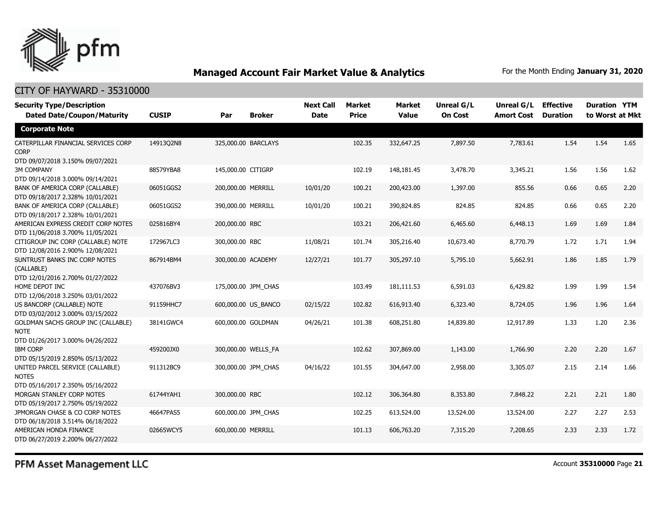

### CITY OF HAYWARD - 35310000

| <b>Security Type/Description</b><br><b>Dated Date/Coupon/Maturity</b>                        | <b>CUSIP</b> | Par                 | <b>Broker</b>       | <b>Next Call</b><br><b>Date</b> | Market<br><b>Price</b> | <b>Market</b><br><b>Value</b> | <b>Unreal G/L</b><br><b>On Cost</b> | Unreal G/L<br><b>Amort Cost</b> | <b>Effective</b><br><b>Duration</b> | <b>Duration YTM</b><br>to Worst at Mkt |      |
|----------------------------------------------------------------------------------------------|--------------|---------------------|---------------------|---------------------------------|------------------------|-------------------------------|-------------------------------------|---------------------------------|-------------------------------------|----------------------------------------|------|
| <b>Corporate Note</b>                                                                        |              |                     |                     |                                 |                        |                               |                                     |                                 |                                     |                                        |      |
| CATERPILLAR FINANCIAL SERVICES CORP<br><b>CORP</b><br>DTD 09/07/2018 3.150% 09/07/2021       | 14913Q2N8    | 325,000.00 BARCLAYS |                     |                                 | 102.35                 | 332,647.25                    | 7,897.50                            | 7,783.61                        | 1.54                                | 1.54                                   | 1.65 |
| <b>3M COMPANY</b><br>DTD 09/14/2018 3.000% 09/14/2021                                        | 88579YBA8    | 145,000.00 CITIGRP  |                     |                                 | 102.19                 | 148,181.45                    | 3,478.70                            | 3,345.21                        | 1.56                                | 1.56                                   | 1.62 |
| BANK OF AMERICA CORP (CALLABLE)<br>DTD 09/18/2017 2.328% 10/01/2021                          | 06051GGS2    | 200,000.00 MERRILL  |                     | 10/01/20                        | 100.21                 | 200,423.00                    | 1,397.00                            | 855.56                          | 0.66                                | 0.65                                   | 2.20 |
| BANK OF AMERICA CORP (CALLABLE)<br>DTD 09/18/2017 2.328% 10/01/2021                          | 06051GGS2    | 390,000.00 MERRILL  |                     | 10/01/20                        | 100.21                 | 390,824.85                    | 824.85                              | 824.85                          | 0.66                                | 0.65                                   | 2.20 |
| AMERICAN EXPRESS CREDIT CORP NOTES<br>DTD 11/06/2018 3.700% 11/05/2021                       | 025816BY4    | 200,000.00 RBC      |                     |                                 | 103.21                 | 206,421.60                    | 6,465.60                            | 6,448.13                        | 1.69                                | 1.69                                   | 1.84 |
| CITIGROUP INC CORP (CALLABLE) NOTE<br>DTD 12/08/2016 2.900% 12/08/2021                       | 172967LC3    | 300,000.00 RBC      |                     | 11/08/21                        | 101.74                 | 305,216.40                    | 10,673.40                           | 8,770.79                        | 1.72                                | 1.71                                   | 1.94 |
| SUNTRUST BANKS INC CORP NOTES<br>(CALLABLE)<br>DTD 12/01/2016 2.700% 01/27/2022              | 867914BM4    | 300,000.00 ACADEMY  |                     | 12/27/21                        | 101.77                 | 305,297.10                    | 5,795.10                            | 5,662.91                        | 1.86                                | 1.85                                   | 1.79 |
| HOME DEPOT INC<br>DTD 12/06/2018 3.250% 03/01/2022                                           | 437076BV3    | 175,000.00 JPM CHAS |                     |                                 | 103.49                 | 181,111.53                    | 6,591.03                            | 6,429.82                        | 1.99                                | 1.99                                   | 1.54 |
| US BANCORP (CALLABLE) NOTE<br>DTD 03/02/2012 3.000% 03/15/2022                               | 91159HHC7    |                     | 600,000.00 US_BANCO | 02/15/22                        | 102.82                 | 616,913.40                    | 6,323.40                            | 8,724.05                        | 1.96                                | 1.96                                   | 1.64 |
| <b>GOLDMAN SACHS GROUP INC (CALLABLE)</b><br><b>NOTE</b><br>DTD 01/26/2017 3.000% 04/26/2022 | 38141GWC4    | 600,000.00 GOLDMAN  |                     | 04/26/21                        | 101.38                 | 608,251.80                    | 14,839.80                           | 12,917.89                       | 1.33                                | 1.20                                   | 2.36 |
| <b>IBM CORP</b><br>DTD 05/15/2019 2.850% 05/13/2022                                          | 459200JX0    | 300,000.00 WELLS FA |                     |                                 | 102.62                 | 307,869.00                    | 1,143.00                            | 1,766.90                        | 2.20                                | 2.20                                   | 1.67 |
| UNITED PARCEL SERVICE (CALLABLE)<br><b>NOTES</b><br>DTD 05/16/2017 2.350% 05/16/2022         | 911312BC9    | 300,000.00 JPM_CHAS |                     | 04/16/22                        | 101.55                 | 304,647.00                    | 2,958.00                            | 3,305.07                        | 2.15                                | 2.14                                   | 1.66 |
| MORGAN STANLEY CORP NOTES<br>DTD 05/19/2017 2.750% 05/19/2022                                | 61744YAH1    | 300,000.00 RBC      |                     |                                 | 102.12                 | 306,364.80                    | 8,353.80                            | 7,848.22                        | 2.21                                | 2.21                                   | 1.80 |
| JPMORGAN CHASE & CO CORP NOTES<br>DTD 06/18/2018 3.514% 06/18/2022                           | 46647PAS5    | 600,000.00 JPM_CHAS |                     |                                 | 102.25                 | 613,524.00                    | 13,524.00                           | 13,524.00                       | 2.27                                | 2.27                                   | 2.53 |
| AMERICAN HONDA FINANCE<br>DTD 06/27/2019 2.200% 06/27/2022                                   | 02665WCY5    | 600,000.00 MERRILL  |                     |                                 | 101.13                 | 606,763.20                    | 7,315.20                            | 7,208.65                        | 2.33                                | 2.33                                   | 1.72 |

PFM Asset Management LLC

Account **35310000** Page **21**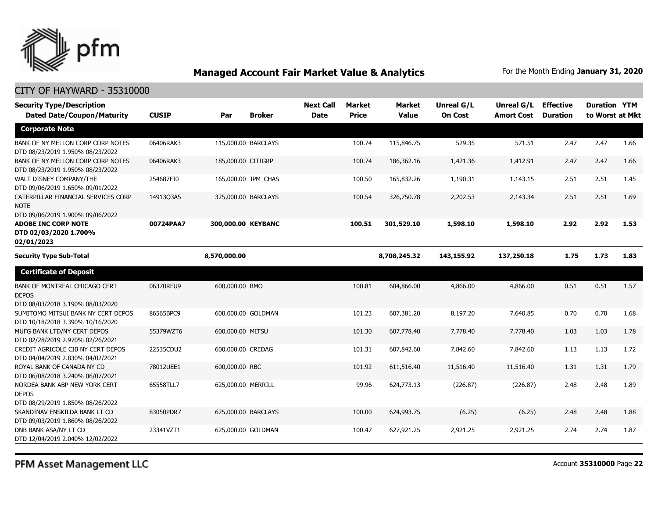

### CITY OF HAYWARD - 35310000

| <b>Security Type/Description</b><br><b>Dated Date/Coupon/Maturity</b>                  | <b>CUSIP</b> | Par                | <b>Broker</b>       | <b>Next Call</b><br><b>Date</b> | <b>Market</b><br><b>Price</b> | <b>Market</b><br><b>Value</b> | Unreal G/L<br><b>On Cost</b> | Unreal G/L<br><b>Amort Cost</b> | <b>Effective</b><br><b>Duration</b> | <b>Duration YTM</b><br>to Worst at Mkt |      |
|----------------------------------------------------------------------------------------|--------------|--------------------|---------------------|---------------------------------|-------------------------------|-------------------------------|------------------------------|---------------------------------|-------------------------------------|----------------------------------------|------|
| <b>Corporate Note</b>                                                                  |              |                    |                     |                                 |                               |                               |                              |                                 |                                     |                                        |      |
| BANK OF NY MELLON CORP CORP NOTES<br>DTD 08/23/2019 1.950% 08/23/2022                  | 06406RAK3    |                    | 115,000.00 BARCLAYS |                                 | 100.74                        | 115,846.75                    | 529.35                       | 571.51                          | 2.47                                | 2.47                                   | 1.66 |
| BANK OF NY MELLON CORP CORP NOTES<br>DTD 08/23/2019 1.950% 08/23/2022                  | 06406RAK3    | 185,000.00 CITIGRP |                     |                                 | 100.74                        | 186,362.16                    | 1,421.36                     | 1,412.91                        | 2.47                                | 2.47                                   | 1.66 |
| WALT DISNEY COMPANY/THE<br>DTD 09/06/2019 1.650% 09/01/2022                            | 254687FJ0    |                    | 165,000.00 JPM_CHAS |                                 | 100.50                        | 165,832.26                    | 1,190.31                     | 1,143.15                        | 2.51                                | 2.51                                   | 1.45 |
| CATERPILLAR FINANCIAL SERVICES CORP<br><b>NOTE</b><br>DTD 09/06/2019 1.900% 09/06/2022 | 14913Q3A5    |                    | 325,000.00 BARCLAYS |                                 | 100.54                        | 326,750.78                    | 2,202.53                     | 2,143.34                        | 2.51                                | 2.51                                   | 1.69 |
| <b>ADOBE INC CORP NOTE</b><br>DTD 02/03/2020 1.700%<br>02/01/2023                      | 00724PAA7    | 300,000.00 KEYBANC |                     |                                 | 100.51                        | 301,529.10                    | 1,598.10                     | 1,598.10                        | 2.92                                | 2.92                                   | 1.53 |
| <b>Security Type Sub-Total</b>                                                         |              | 8,570,000.00       |                     |                                 |                               | 8,708,245.32                  | 143,155.92                   | 137,250.18                      | 1.75                                | 1.73                                   | 1.83 |
| <b>Certificate of Deposit</b>                                                          |              |                    |                     |                                 |                               |                               |                              |                                 |                                     |                                        |      |
| BANK OF MONTREAL CHICAGO CERT<br><b>DEPOS</b><br>DTD 08/03/2018 3.190% 08/03/2020      | 06370REU9    | 600,000.00 BMO     |                     |                                 | 100.81                        | 604,866.00                    | 4,866.00                     | 4,866.00                        | 0.51                                | 0.51                                   | 1.57 |
| SUMITOMO MITSUI BANK NY CERT DEPOS<br>DTD 10/18/2018 3.390% 10/16/2020                 | 86565BPC9    |                    | 600,000.00 GOLDMAN  |                                 | 101.23                        | 607,381.20                    | 8,197.20                     | 7,640.85                        | 0.70                                | 0.70                                   | 1.68 |
| MUFG BANK LTD/NY CERT DEPOS<br>DTD 02/28/2019 2.970% 02/26/2021                        | 55379WZT6    | 600,000.00 MITSU   |                     |                                 | 101.30                        | 607,778.40                    | 7,778.40                     | 7,778.40                        | 1.03                                | 1.03                                   | 1.78 |
| CREDIT AGRICOLE CIB NY CERT DEPOS<br>DTD 04/04/2019 2.830% 04/02/2021                  | 22535CDU2    | 600,000.00 CREDAG  |                     |                                 | 101.31                        | 607,842.60                    | 7,842.60                     | 7,842.60                        | 1.13                                | 1.13                                   | 1.72 |
| ROYAL BANK OF CANADA NY CD<br>DTD 06/08/2018 3.240% 06/07/2021                         | 78012UEE1    | 600,000.00 RBC     |                     |                                 | 101.92                        | 611,516.40                    | 11,516.40                    | 11,516.40                       | 1.31                                | 1.31                                   | 1.79 |
| NORDEA BANK ABP NEW YORK CERT<br><b>DEPOS</b><br>DTD 08/29/2019 1.850% 08/26/2022      | 65558TLL7    | 625,000.00 MERRILL |                     |                                 | 99.96                         | 624,773.13                    | (226.87)                     | (226.87)                        | 2.48                                | 2.48                                   | 1.89 |
| SKANDINAV ENSKILDA BANK LT CD<br>DTD 09/03/2019 1.860% 08/26/2022                      | 83050PDR7    |                    | 625,000.00 BARCLAYS |                                 | 100.00                        | 624,993.75                    | (6.25)                       | (6.25)                          | 2.48                                | 2.48                                   | 1.88 |
| DNB BANK ASA/NY LT CD<br>DTD 12/04/2019 2.040% 12/02/2022                              | 23341VZT1    |                    | 625,000.00 GOLDMAN  |                                 | 100.47                        | 627,921.25                    | 2,921.25                     | 2,921.25                        | 2.74                                | 2.74                                   | 1.87 |

PFM Asset Management LLC

Account **35310000** Page **22**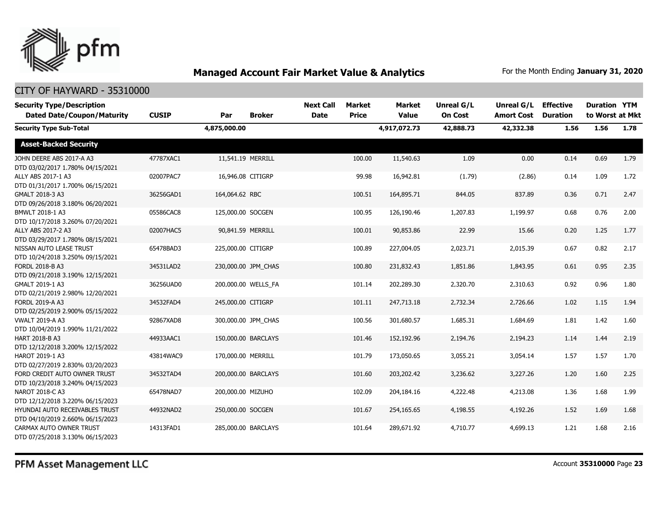

| <b>Security Type/Description</b><br><b>Dated Date/Coupon/Maturity</b> | <b>CUSIP</b> | Par                | <b>Broker</b>       | <b>Next Call</b><br><b>Date</b> | Market<br><b>Price</b> | <b>Market</b><br><b>Value</b> | <b>Unreal G/L</b><br><b>On Cost</b> | Unreal G/L<br><b>Amort Cost</b> | <b>Effective</b><br><b>Duration</b> | <b>Duration YTM</b><br>to Worst at Mkt |      |
|-----------------------------------------------------------------------|--------------|--------------------|---------------------|---------------------------------|------------------------|-------------------------------|-------------------------------------|---------------------------------|-------------------------------------|----------------------------------------|------|
| <b>Security Type Sub-Total</b>                                        |              | 4,875,000.00       |                     |                                 |                        | 4,917,072.73                  | 42,888.73                           | 42,332.38                       | 1.56                                | 1.56                                   | 1.78 |
| <b>Asset-Backed Security</b>                                          |              |                    |                     |                                 |                        |                               |                                     |                                 |                                     |                                        |      |
| JOHN DEERE ABS 2017-A A3<br>DTD 03/02/2017 1.780% 04/15/2021          | 47787XAC1    | 11,541.19 MERRILL  |                     |                                 | 100.00                 | 11,540.63                     | 1.09                                | 0.00                            | 0.14                                | 0.69                                   | 1.79 |
| ALLY ABS 2017-1 A3<br>DTD 01/31/2017 1.700% 06/15/2021                | 02007PAC7    | 16,946.08 CITIGRP  |                     |                                 | 99.98                  | 16,942.81                     | (1.79)                              | (2.86)                          | 0.14                                | 1.09                                   | 1.72 |
| GMALT 2018-3 A3<br>DTD 09/26/2018 3.180% 06/20/2021                   | 36256GAD1    | 164,064.62 RBC     |                     |                                 | 100.51                 | 164,895.71                    | 844.05                              | 837.89                          | 0.36                                | 0.71                                   | 2.47 |
| BMWLT 2018-1 A3<br>DTD 10/17/2018 3.260% 07/20/2021                   | 05586CAC8    | 125,000.00 SOCGEN  |                     |                                 | 100.95                 | 126,190.46                    | 1,207.83                            | 1,199.97                        | 0.68                                | 0.76                                   | 2.00 |
| ALLY ABS 2017-2 A3<br>DTD 03/29/2017 1.780% 08/15/2021                | 02007HAC5    | 90,841.59 MERRILL  |                     |                                 | 100.01                 | 90,853.86                     | 22.99                               | 15.66                           | 0.20                                | 1.25                                   | 1.77 |
| NISSAN AUTO LEASE TRUST<br>DTD 10/24/2018 3.250% 09/15/2021           | 65478BAD3    | 225,000.00 CITIGRP |                     |                                 | 100.89                 | 227,004.05                    | 2,023.71                            | 2,015.39                        | 0.67                                | 0.82                                   | 2.17 |
| FORDL 2018-B A3<br>DTD 09/21/2018 3.190% 12/15/2021                   | 34531LAD2    |                    | 230,000.00 JPM_CHAS |                                 | 100.80                 | 231,832.43                    | 1,851.86                            | 1,843.95                        | 0.61                                | 0.95                                   | 2.35 |
| GMALT 2019-1 A3<br>DTD 02/21/2019 2.980% 12/20/2021                   | 36256UAD0    |                    | 200,000.00 WELLS_FA |                                 | 101.14                 | 202,289.30                    | 2,320.70                            | 2,310.63                        | 0.92                                | 0.96                                   | 1.80 |
| FORDL 2019-A A3<br>DTD 02/25/2019 2.900% 05/15/2022                   | 34532FAD4    | 245,000.00 CITIGRP |                     |                                 | 101.11                 | 247,713.18                    | 2,732.34                            | 2,726.66                        | 1.02                                | 1.15                                   | 1.94 |
| <b>VWALT 2019-A A3</b><br>DTD 10/04/2019 1.990% 11/21/2022            | 92867XAD8    |                    | 300,000.00 JPM CHAS |                                 | 100.56                 | 301,680.57                    | 1,685.31                            | 1,684.69                        | 1.81                                | 1.42                                   | 1.60 |
| HART 2018-B A3<br>DTD 12/12/2018 3.200% 12/15/2022                    | 44933AAC1    |                    | 150,000.00 BARCLAYS |                                 | 101.46                 | 152,192.96                    | 2,194.76                            | 2,194.23                        | 1.14                                | 1.44                                   | 2.19 |
| HAROT 2019-1 A3<br>DTD 02/27/2019 2.830% 03/20/2023                   | 43814WAC9    | 170,000.00 MERRILL |                     |                                 | 101.79                 | 173,050.65                    | 3,055.21                            | 3,054.14                        | 1.57                                | 1.57                                   | 1.70 |
| FORD CREDIT AUTO OWNER TRUST<br>DTD 10/23/2018 3.240% 04/15/2023      | 34532TAD4    |                    | 200,000.00 BARCLAYS |                                 | 101.60                 | 203,202.42                    | 3,236.62                            | 3,227.26                        | 1.20                                | 1.60                                   | 2.25 |
| NAROT 2018-C A3<br>DTD 12/12/2018 3.220% 06/15/2023                   | 65478NAD7    | 200,000.00 MIZUHO  |                     |                                 | 102.09                 | 204,184.16                    | 4,222.48                            | 4,213.08                        | 1.36                                | 1.68                                   | 1.99 |
| HYUNDAI AUTO RECEIVABLES TRUST<br>DTD 04/10/2019 2.660% 06/15/2023    | 44932NAD2    | 250,000.00 SOCGEN  |                     |                                 | 101.67                 | 254,165.65                    | 4,198.55                            | 4,192.26                        | 1.52                                | 1.69                                   | 1.68 |
| CARMAX AUTO OWNER TRUST<br>DTD 07/25/2018 3.130% 06/15/2023           | 14313FAD1    |                    | 285,000.00 BARCLAYS |                                 | 101.64                 | 289,671.92                    | 4,710.77                            | 4,699.13                        | 1.21                                | 1.68                                   | 2.16 |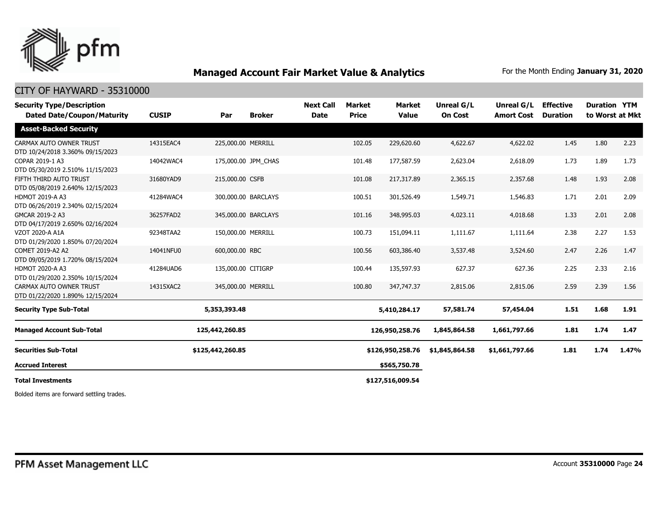

### CITY OF HAYWARD - 35310000

| <b>CUSIP</b> | Par          | <b>Broker</b> | <b>Next Call</b><br><b>Date</b>                                                                                                                                                                                                      | <b>Market</b><br><b>Price</b> | <b>Market</b><br><b>Value</b> | <b>Unreal G/L</b><br><b>On Cost</b>                                    | Unreal G/L<br><b>Amort Cost</b> | <b>Effective</b><br><b>Duration</b> | <b>Duration YTM</b> | to Worst at Mkt |
|--------------|--------------|---------------|--------------------------------------------------------------------------------------------------------------------------------------------------------------------------------------------------------------------------------------|-------------------------------|-------------------------------|------------------------------------------------------------------------|---------------------------------|-------------------------------------|---------------------|-----------------|
|              |              |               |                                                                                                                                                                                                                                      |                               |                               |                                                                        |                                 |                                     |                     |                 |
| 14315EAC4    |              |               |                                                                                                                                                                                                                                      | 102.05                        | 229,620.60                    | 4,622.67                                                               | 4,622.02                        | 1.45                                | 1.80                | 2.23            |
| 14042WAC4    |              |               |                                                                                                                                                                                                                                      | 101.48                        | 177,587.59                    | 2,623.04                                                               | 2,618.09                        | 1.73                                | 1.89                | 1.73            |
| 31680YAD9    |              |               |                                                                                                                                                                                                                                      | 101.08                        | 217,317.89                    | 2,365.15                                                               | 2,357.68                        | 1.48                                | 1.93                | 2.08            |
| 41284WAC4    |              |               |                                                                                                                                                                                                                                      | 100.51                        | 301,526.49                    | 1,549.71                                                               | 1,546.83                        | 1.71                                | 2.01                | 2.09            |
| 36257FAD2    |              |               |                                                                                                                                                                                                                                      | 101.16                        | 348,995.03                    | 4,023.11                                                               | 4,018.68                        | 1.33                                | 2.01                | 2.08            |
| 92348TAA2    |              |               |                                                                                                                                                                                                                                      | 100.73                        | 151,094.11                    | 1,111.67                                                               | 1,111.64                        | 2.38                                | 2.27                | 1.53            |
| 14041NFU0    |              |               |                                                                                                                                                                                                                                      | 100.56                        | 603,386.40                    | 3,537.48                                                               | 3,524.60                        | 2.47                                | 2.26                | 1.47            |
| 41284UAD6    |              |               |                                                                                                                                                                                                                                      | 100.44                        | 135,597.93                    | 627.37                                                                 | 627.36                          | 2.25                                | 2.33                | 2.16            |
| 14315XAC2    |              |               |                                                                                                                                                                                                                                      | 100.80                        | 347,747.37                    | 2,815.06                                                               | 2,815.06                        | 2.59                                | 2.39                | 1.56            |
|              | 5,353,393.48 |               |                                                                                                                                                                                                                                      |                               |                               | 57,581.74                                                              | 57,454.04                       | 1.51                                | 1.68                | 1.91            |
|              |              |               |                                                                                                                                                                                                                                      |                               |                               | 1,845,864.58                                                           | 1,661,797.66                    | 1.81                                | 1.74                | 1.47            |
|              |              |               |                                                                                                                                                                                                                                      |                               |                               | \$1,845,864.58                                                         | \$1,661,797.66                  | 1.81                                | 1.74                | 1.47%           |
|              |              |               |                                                                                                                                                                                                                                      |                               | \$565,750.78                  |                                                                        |                                 |                                     |                     |                 |
|              |              |               |                                                                                                                                                                                                                                      |                               |                               |                                                                        |                                 |                                     |                     |                 |
|              |              |               | 225,000.00 MERRILL<br>175,000.00 JPM CHAS<br>215,000.00 CSFB<br>300,000.00 BARCLAYS<br>345,000.00 BARCLAYS<br>150,000.00 MERRILL<br>600,000.00 RBC<br>135,000.00 CITIGRP<br>345,000.00 MERRILL<br>125,442,260.85<br>\$125,442,260.85 |                               |                               | 5,410,284.17<br>126,950,258.76<br>\$126,950,258.76<br>\$127,516,009.54 |                                 |                                     |                     |                 |

Bolded items are forward settling trades.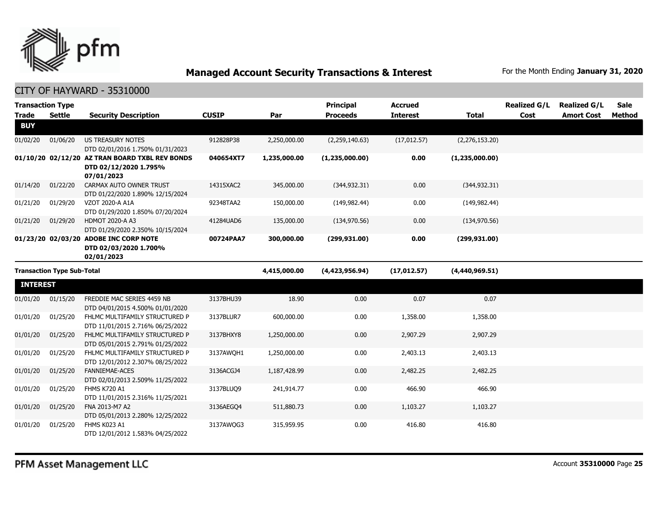

| <b>Transaction Type</b><br><b>Trade</b> | <b>Settle</b>                     | <b>Security Description</b>                                                           | <b>CUSIP</b> | Par          | <b>Principal</b><br><b>Proceeds</b> | <b>Accrued</b><br><b>Interest</b> | <b>Total</b>   | <b>Realized G/L</b><br>Cost | <b>Realized G/L</b><br><b>Amort Cost</b> | <b>Sale</b><br>Method |
|-----------------------------------------|-----------------------------------|---------------------------------------------------------------------------------------|--------------|--------------|-------------------------------------|-----------------------------------|----------------|-----------------------------|------------------------------------------|-----------------------|
| <b>BUY</b>                              |                                   |                                                                                       |              |              |                                     |                                   |                |                             |                                          |                       |
| 01/02/20                                | 01/06/20                          | <b>US TREASURY NOTES</b><br>DTD 02/01/2016 1.750% 01/31/2023                          | 912828P38    | 2,250,000.00 | (2,259,140.63)                      | (17, 012.57)                      | (2,276,153.20) |                             |                                          |                       |
|                                         |                                   | 01/10/20 02/12/20 AZ TRAN BOARD TXBL REV BONDS<br>DTD 02/12/2020 1.795%<br>07/01/2023 | 040654XT7    | 1,235,000.00 | (1,235,000.00)                      | 0.00                              | (1,235,000.00) |                             |                                          |                       |
| 01/14/20                                | 01/22/20                          | CARMAX AUTO OWNER TRUST<br>DTD 01/22/2020 1.890% 12/15/2024                           | 14315XAC2    | 345,000.00   | (344, 932.31)                       | 0.00                              | (344, 932.31)  |                             |                                          |                       |
| 01/21/20                                | 01/29/20                          | VZOT 2020-A A1A<br>DTD 01/29/2020 1.850% 07/20/2024                                   | 92348TAA2    | 150,000.00   | (149, 982, 44)                      | 0.00                              | (149, 982, 44) |                             |                                          |                       |
| 01/21/20                                | 01/29/20                          | HDMOT 2020-A A3<br>DTD 01/29/2020 2.350% 10/15/2024                                   | 41284UAD6    | 135,000.00   | (134, 970.56)                       | 0.00                              | (134, 970.56)  |                             |                                          |                       |
|                                         |                                   | 01/23/20 02/03/20 ADOBE INC CORP NOTE<br>DTD 02/03/2020 1.700%<br>02/01/2023          | 00724PAA7    | 300,000.00   | (299, 931.00)                       | 0.00                              | (299, 931.00)  |                             |                                          |                       |
|                                         | <b>Transaction Type Sub-Total</b> |                                                                                       |              | 4,415,000.00 | (4,423,956.94)                      | (17, 012.57)                      | (4,440,969.51) |                             |                                          |                       |
| <b>INTEREST</b>                         |                                   |                                                                                       |              |              |                                     |                                   |                |                             |                                          |                       |
| 01/01/20                                | 01/15/20                          | FREDDIE MAC SERIES 4459 NB<br>DTD 04/01/2015 4.500% 01/01/2020                        | 3137BHU39    | 18.90        | 0.00                                | 0.07                              | 0.07           |                             |                                          |                       |
| 01/01/20                                | 01/25/20                          | FHLMC MULTIFAMILY STRUCTURED P<br>DTD 11/01/2015 2.716% 06/25/2022                    | 3137BLUR7    | 600,000.00   | 0.00                                | 1,358.00                          | 1,358.00       |                             |                                          |                       |
| 01/01/20                                | 01/25/20                          | FHLMC MULTIFAMILY STRUCTURED P<br>DTD 05/01/2015 2.791% 01/25/2022                    | 3137BHXY8    | 1,250,000.00 | 0.00                                | 2,907.29                          | 2,907.29       |                             |                                          |                       |
| 01/01/20                                | 01/25/20                          | FHLMC MULTIFAMILY STRUCTURED P<br>DTD 12/01/2012 2.307% 08/25/2022                    | 3137AWQH1    | 1,250,000.00 | 0.00                                | 2,403.13                          | 2,403.13       |                             |                                          |                       |
| 01/01/20                                | 01/25/20                          | <b>FANNIEMAE-ACES</b><br>DTD 02/01/2013 2.509% 11/25/2022                             | 3136ACGJ4    | 1,187,428.99 | 0.00                                | 2,482.25                          | 2,482.25       |                             |                                          |                       |
| 01/01/20                                | 01/25/20                          | <b>FHMS K720 A1</b><br>DTD 11/01/2015 2.316% 11/25/2021                               | 3137BLUQ9    | 241,914.77   | 0.00                                | 466.90                            | 466.90         |                             |                                          |                       |
| 01/01/20                                | 01/25/20                          | FNA 2013-M7 A2<br>DTD 05/01/2013 2.280% 12/25/2022                                    | 3136AEGO4    | 511,880.73   | 0.00                                | 1,103.27                          | 1,103.27       |                             |                                          |                       |
| 01/01/20                                | 01/25/20                          | FHMS K023 A1<br>DTD 12/01/2012 1.583% 04/25/2022                                      | 3137AWQG3    | 315,959.95   | 0.00                                | 416.80                            | 416.80         |                             |                                          |                       |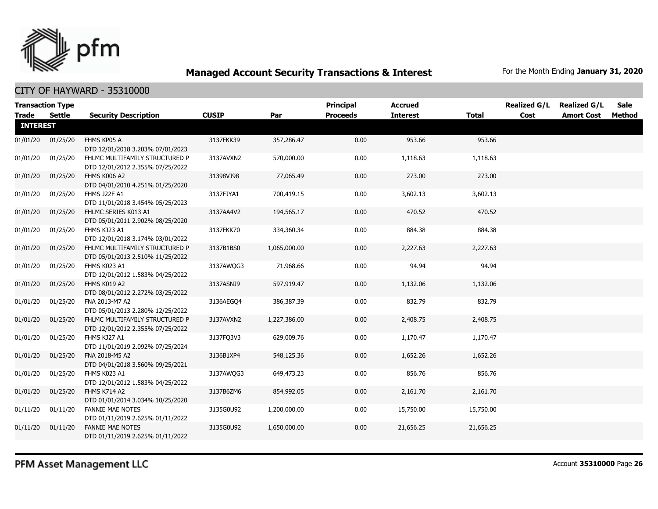

CITY OF HAYWARD - 35310000

| <b>Transaction Type</b> |               |                                                                    |              |              | <b>Principal</b> | <b>Accrued</b>  |              | <b>Realized G/L</b> | <b>Realized G/L</b> | Sale   |
|-------------------------|---------------|--------------------------------------------------------------------|--------------|--------------|------------------|-----------------|--------------|---------------------|---------------------|--------|
| <b>Trade</b>            | <b>Settle</b> | <b>Security Description</b>                                        | <b>CUSIP</b> | Par          | <b>Proceeds</b>  | <b>Interest</b> | <b>Total</b> | Cost                | <b>Amort Cost</b>   | Method |
| <b>INTEREST</b>         |               |                                                                    |              |              |                  |                 |              |                     |                     |        |
| 01/01/20                | 01/25/20      | FHMS KP05 A<br>DTD 12/01/2018 3.203% 07/01/2023                    | 3137FKK39    | 357,286.47   | 0.00             | 953.66          | 953.66       |                     |                     |        |
| 01/01/20                | 01/25/20      | FHLMC MULTIFAMILY STRUCTURED P<br>DTD 12/01/2012 2.355% 07/25/2022 | 3137AVXN2    | 570,000.00   | 0.00             | 1,118.63        | 1,118.63     |                     |                     |        |
| 01/01/20                | 01/25/20      | FHMS K006 A2<br>DTD 04/01/2010 4.251% 01/25/2020                   | 31398VJ98    | 77,065.49    | 0.00             | 273.00          | 273.00       |                     |                     |        |
| 01/01/20                | 01/25/20      | FHMS J22F A1<br>DTD 11/01/2018 3.454% 05/25/2023                   | 3137FJYA1    | 700,419.15   | 0.00             | 3,602.13        | 3,602.13     |                     |                     |        |
| 01/01/20                | 01/25/20      | FHLMC SERIES K013 A1<br>DTD 05/01/2011 2.902% 08/25/2020           | 3137AA4V2    | 194,565.17   | 0.00             | 470.52          | 470.52       |                     |                     |        |
| 01/01/20                | 01/25/20      | FHMS KJ23 A1<br>DTD 12/01/2018 3.174% 03/01/2022                   | 3137FKK70    | 334,360.34   | 0.00             | 884.38          | 884.38       |                     |                     |        |
| 01/01/20                | 01/25/20      | FHLMC MULTIFAMILY STRUCTURED P<br>DTD 05/01/2013 2.510% 11/25/2022 | 3137B1BS0    | 1,065,000.00 | 0.00             | 2,227.63        | 2,227.63     |                     |                     |        |
| 01/01/20                | 01/25/20      | FHMS K023 A1<br>DTD 12/01/2012 1.583% 04/25/2022                   | 3137AWQG3    | 71,968.66    | 0.00             | 94.94           | 94.94        |                     |                     |        |
| 01/01/20                | 01/25/20      | FHMS K019 A2<br>DTD 08/01/2012 2.272% 03/25/2022                   | 3137ASNJ9    | 597,919.47   | 0.00             | 1,132.06        | 1,132.06     |                     |                     |        |
| 01/01/20                | 01/25/20      | FNA 2013-M7 A2<br>DTD 05/01/2013 2.280% 12/25/2022                 | 3136AEGO4    | 386,387.39   | 0.00             | 832.79          | 832.79       |                     |                     |        |
| 01/01/20                | 01/25/20      | FHLMC MULTIFAMILY STRUCTURED P<br>DTD 12/01/2012 2.355% 07/25/2022 | 3137AVXN2    | 1,227,386.00 | 0.00             | 2,408.75        | 2,408.75     |                     |                     |        |
| 01/01/20                | 01/25/20      | FHMS KJ27 A1<br>DTD 11/01/2019 2.092% 07/25/2024                   | 3137FQ3V3    | 629,009.76   | 0.00             | 1,170.47        | 1,170.47     |                     |                     |        |
| 01/01/20                | 01/25/20      | FNA 2018-M5 A2<br>DTD 04/01/2018 3.560% 09/25/2021                 | 3136B1XP4    | 548,125.36   | 0.00             | 1,652.26        | 1,652.26     |                     |                     |        |
| 01/01/20                | 01/25/20      | FHMS K023 A1<br>DTD 12/01/2012 1.583% 04/25/2022                   | 3137AWQG3    | 649,473.23   | 0.00             | 856.76          | 856.76       |                     |                     |        |
| 01/01/20                | 01/25/20      | FHMS K714 A2<br>DTD 01/01/2014 3.034% 10/25/2020                   | 3137B6ZM6    | 854,992.05   | 0.00             | 2,161.70        | 2,161.70     |                     |                     |        |
| 01/11/20                | 01/11/20      | <b>FANNIE MAE NOTES</b><br>DTD 01/11/2019 2.625% 01/11/2022        | 3135G0U92    | 1,200,000.00 | 0.00             | 15,750.00       | 15,750.00    |                     |                     |        |
| 01/11/20                | 01/11/20      | <b>FANNIE MAE NOTES</b><br>DTD 01/11/2019 2.625% 01/11/2022        | 3135G0U92    | 1,650,000.00 | 0.00             | 21,656.25       | 21,656.25    |                     |                     |        |

PFM Asset Management LLC

Account **35310000** Page **26**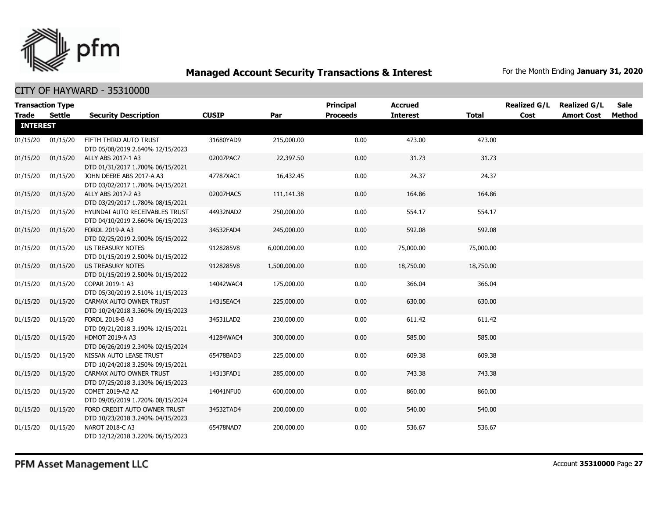

|                 | <b>Transaction Type</b> |                                                                    |              |              | <b>Principal</b> | <b>Accrued</b>  |              | <b>Realized G/L</b> | <b>Realized G/L</b> | <b>Sale</b> |
|-----------------|-------------------------|--------------------------------------------------------------------|--------------|--------------|------------------|-----------------|--------------|---------------------|---------------------|-------------|
| <b>Trade</b>    | Settle                  | <b>Security Description</b>                                        | <b>CUSIP</b> | Par          | <b>Proceeds</b>  | <b>Interest</b> | <b>Total</b> | Cost                | <b>Amort Cost</b>   | Method      |
| <b>INTEREST</b> |                         |                                                                    |              |              |                  |                 |              |                     |                     |             |
| 01/15/20        | 01/15/20                | FIFTH THIRD AUTO TRUST<br>DTD 05/08/2019 2.640% 12/15/2023         | 31680YAD9    | 215,000.00   | 0.00             | 473.00          | 473.00       |                     |                     |             |
| 01/15/20        | 01/15/20                | ALLY ABS 2017-1 A3<br>DTD 01/31/2017 1.700% 06/15/2021             | 02007PAC7    | 22,397.50    | 0.00             | 31.73           | 31.73        |                     |                     |             |
| 01/15/20        | 01/15/20                | JOHN DEERE ABS 2017-A A3<br>DTD 03/02/2017 1.780% 04/15/2021       | 47787XAC1    | 16,432.45    | 0.00             | 24.37           | 24.37        |                     |                     |             |
| 01/15/20        | 01/15/20                | ALLY ABS 2017-2 A3<br>DTD 03/29/2017 1.780% 08/15/2021             | 02007HAC5    | 111,141.38   | 0.00             | 164.86          | 164.86       |                     |                     |             |
| 01/15/20        | 01/15/20                | HYUNDAI AUTO RECEIVABLES TRUST<br>DTD 04/10/2019 2.660% 06/15/2023 | 44932NAD2    | 250,000.00   | 0.00             | 554.17          | 554.17       |                     |                     |             |
| 01/15/20        | 01/15/20                | FORDL 2019-A A3<br>DTD 02/25/2019 2.900% 05/15/2022                | 34532FAD4    | 245,000.00   | 0.00             | 592.08          | 592.08       |                     |                     |             |
| 01/15/20        | 01/15/20                | US TREASURY NOTES<br>DTD 01/15/2019 2.500% 01/15/2022              | 9128285V8    | 6,000,000.00 | 0.00             | 75,000.00       | 75,000.00    |                     |                     |             |
| 01/15/20        | 01/15/20                | <b>US TREASURY NOTES</b><br>DTD 01/15/2019 2.500% 01/15/2022       | 9128285V8    | 1,500,000.00 | 0.00             | 18,750.00       | 18,750.00    |                     |                     |             |
| 01/15/20        | 01/15/20                | COPAR 2019-1 A3<br>DTD 05/30/2019 2.510% 11/15/2023                | 14042WAC4    | 175,000.00   | 0.00             | 366.04          | 366.04       |                     |                     |             |
| 01/15/20        | 01/15/20                | CARMAX AUTO OWNER TRUST<br>DTD 10/24/2018 3.360% 09/15/2023        | 14315EAC4    | 225,000.00   | 0.00             | 630.00          | 630.00       |                     |                     |             |
| 01/15/20        | 01/15/20                | FORDL 2018-B A3<br>DTD 09/21/2018 3.190% 12/15/2021                | 34531LAD2    | 230,000.00   | 0.00             | 611.42          | 611.42       |                     |                     |             |
| 01/15/20        | 01/15/20                | <b>HDMOT 2019-A A3</b><br>DTD 06/26/2019 2.340% 02/15/2024         | 41284WAC4    | 300,000.00   | 0.00             | 585.00          | 585.00       |                     |                     |             |
| 01/15/20        | 01/15/20                | NISSAN AUTO LEASE TRUST<br>DTD 10/24/2018 3.250% 09/15/2021        | 65478BAD3    | 225,000.00   | 0.00             | 609.38          | 609.38       |                     |                     |             |
| 01/15/20        | 01/15/20                | CARMAX AUTO OWNER TRUST<br>DTD 07/25/2018 3.130% 06/15/2023        | 14313FAD1    | 285,000.00   | 0.00             | 743.38          | 743.38       |                     |                     |             |
| 01/15/20        | 01/15/20                | COMET 2019-A2 A2<br>DTD 09/05/2019 1.720% 08/15/2024               | 14041NFU0    | 600,000.00   | 0.00             | 860.00          | 860.00       |                     |                     |             |
| 01/15/20        | 01/15/20                | FORD CREDIT AUTO OWNER TRUST<br>DTD 10/23/2018 3.240% 04/15/2023   | 34532TAD4    | 200,000.00   | 0.00             | 540.00          | 540.00       |                     |                     |             |
| 01/15/20        | 01/15/20                | NAROT 2018-C A3<br>DTD 12/12/2018 3.220% 06/15/2023                | 65478NAD7    | 200,000.00   | 0.00             | 536.67          | 536.67       |                     |                     |             |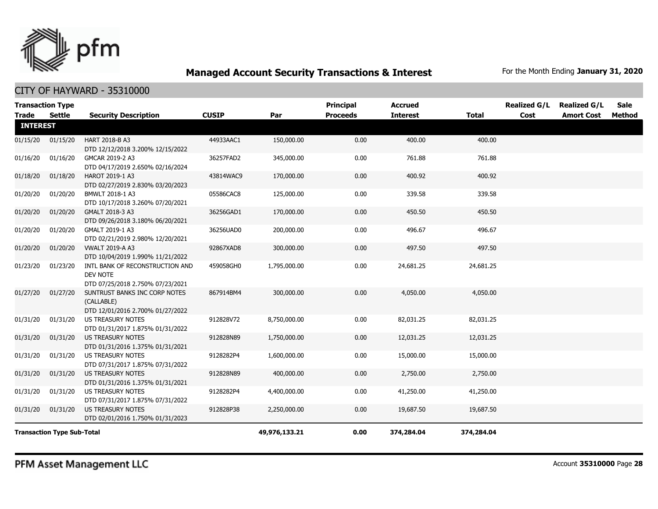

| <b>Transaction Type</b><br><b>Trade</b> | <b>Settle</b>                     | <b>Security Description</b>                                                     | <b>CUSIP</b> | Par           | Principal<br><b>Proceeds</b> | <b>Accrued</b><br><b>Interest</b> | <b>Total</b> | <b>Realized G/L</b><br>Cost | <b>Realized G/L</b><br><b>Amort Cost</b> | <b>Sale</b><br>Method |
|-----------------------------------------|-----------------------------------|---------------------------------------------------------------------------------|--------------|---------------|------------------------------|-----------------------------------|--------------|-----------------------------|------------------------------------------|-----------------------|
| <b>INTEREST</b>                         |                                   |                                                                                 |              |               |                              |                                   |              |                             |                                          |                       |
| 01/15/20                                | 01/15/20                          | HART 2018-B A3<br>DTD 12/12/2018 3.200% 12/15/2022                              | 44933AAC1    | 150,000.00    | 0.00                         | 400.00                            | 400.00       |                             |                                          |                       |
| 01/16/20                                | 01/16/20                          | GMCAR 2019-2 A3<br>DTD 04/17/2019 2.650% 02/16/2024                             | 36257FAD2    | 345,000.00    | 0.00                         | 761.88                            | 761.88       |                             |                                          |                       |
| 01/18/20                                | 01/18/20                          | HAROT 2019-1 A3<br>DTD 02/27/2019 2.830% 03/20/2023                             | 43814WAC9    | 170,000.00    | 0.00                         | 400.92                            | 400.92       |                             |                                          |                       |
| 01/20/20                                | 01/20/20                          | BMWLT 2018-1 A3<br>DTD 10/17/2018 3.260% 07/20/2021                             | 05586CAC8    | 125,000.00    | 0.00                         | 339.58                            | 339.58       |                             |                                          |                       |
| 01/20/20                                | 01/20/20                          | GMALT 2018-3 A3<br>DTD 09/26/2018 3.180% 06/20/2021                             | 36256GAD1    | 170,000.00    | 0.00                         | 450.50                            | 450.50       |                             |                                          |                       |
| 01/20/20                                | 01/20/20                          | GMALT 2019-1 A3<br>DTD 02/21/2019 2.980% 12/20/2021                             | 36256UAD0    | 200,000.00    | 0.00                         | 496.67                            | 496.67       |                             |                                          |                       |
| 01/20/20                                | 01/20/20                          | <b>VWALT 2019-A A3</b><br>DTD 10/04/2019 1.990% 11/21/2022                      | 92867XAD8    | 300,000.00    | 0.00                         | 497.50                            | 497.50       |                             |                                          |                       |
| 01/23/20                                | 01/23/20                          | INTL BANK OF RECONSTRUCTION AND<br>DEV NOTE<br>DTD 07/25/2018 2.750% 07/23/2021 | 459058GH0    | 1,795,000.00  | 0.00                         | 24,681.25                         | 24,681.25    |                             |                                          |                       |
| 01/27/20                                | 01/27/20                          | SUNTRUST BANKS INC CORP NOTES<br>(CALLABLE)<br>DTD 12/01/2016 2.700% 01/27/2022 | 867914BM4    | 300,000.00    | 0.00                         | 4,050.00                          | 4,050.00     |                             |                                          |                       |
| 01/31/20                                | 01/31/20                          | <b>US TREASURY NOTES</b><br>DTD 01/31/2017 1.875% 01/31/2022                    | 912828V72    | 8,750,000.00  | 0.00                         | 82,031.25                         | 82,031.25    |                             |                                          |                       |
| 01/31/20                                | 01/31/20                          | <b>US TREASURY NOTES</b><br>DTD 01/31/2016 1.375% 01/31/2021                    | 912828N89    | 1,750,000.00  | 0.00                         | 12,031.25                         | 12,031.25    |                             |                                          |                       |
| 01/31/20                                | 01/31/20                          | <b>US TREASURY NOTES</b><br>DTD 07/31/2017 1.875% 07/31/2022                    | 9128282P4    | 1,600,000.00  | 0.00                         | 15,000.00                         | 15,000.00    |                             |                                          |                       |
| 01/31/20                                | 01/31/20                          | <b>US TREASURY NOTES</b><br>DTD 01/31/2016 1.375% 01/31/2021                    | 912828N89    | 400,000.00    | 0.00                         | 2,750.00                          | 2,750.00     |                             |                                          |                       |
| 01/31/20                                | 01/31/20                          | <b>US TREASURY NOTES</b><br>DTD 07/31/2017 1.875% 07/31/2022                    | 9128282P4    | 4,400,000.00  | 0.00                         | 41,250.00                         | 41,250.00    |                             |                                          |                       |
| 01/31/20                                | 01/31/20                          | US TREASURY NOTES<br>DTD 02/01/2016 1.750% 01/31/2023                           | 912828P38    | 2,250,000.00  | 0.00                         | 19,687.50                         | 19,687.50    |                             |                                          |                       |
|                                         | <b>Transaction Type Sub-Total</b> |                                                                                 |              | 49,976,133.21 | 0.00                         | 374,284.04                        | 374,284.04   |                             |                                          |                       |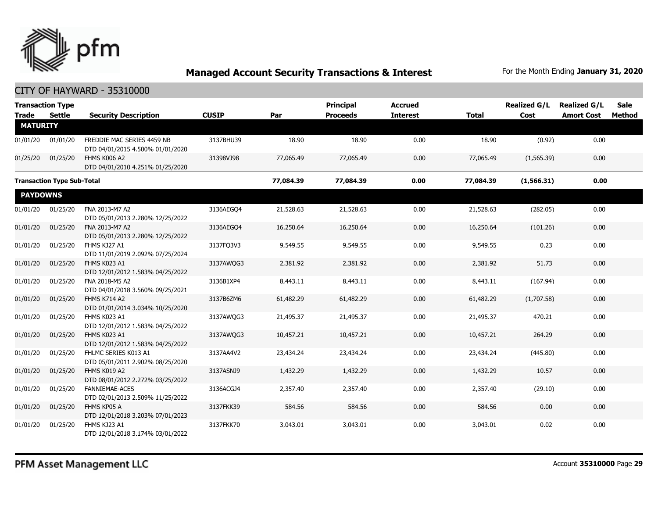

|                 | <b>Transaction Type</b>           |                                                                |              |           | <b>Principal</b> | <b>Accrued</b>  |              | <b>Realized G/L</b> | <b>Realized G/L</b> | <b>Sale</b> |
|-----------------|-----------------------------------|----------------------------------------------------------------|--------------|-----------|------------------|-----------------|--------------|---------------------|---------------------|-------------|
| <b>Trade</b>    | Settle                            | <b>Security Description</b>                                    | <b>CUSIP</b> | Par       | <b>Proceeds</b>  | <b>Interest</b> | <b>Total</b> | Cost                | <b>Amort Cost</b>   | Method      |
| <b>MATURITY</b> |                                   |                                                                |              |           |                  |                 |              |                     |                     |             |
| 01/01/20        | 01/01/20                          | FREDDIE MAC SERIES 4459 NB<br>DTD 04/01/2015 4.500% 01/01/2020 | 3137BHU39    | 18.90     | 18.90            | 0.00            | 18.90        | (0.92)              | 0.00                |             |
| 01/25/20        | 01/25/20                          | FHMS K006 A2<br>DTD 04/01/2010 4.251% 01/25/2020               | 31398VJ98    | 77,065.49 | 77,065.49        | 0.00            | 77,065.49    | (1,565.39)          | 0.00                |             |
|                 | <b>Transaction Type Sub-Total</b> |                                                                |              | 77,084.39 | 77,084.39        | 0.00            | 77,084.39    | (1,566.31)          | 0.00                |             |
| <b>PAYDOWNS</b> |                                   |                                                                |              |           |                  |                 |              |                     |                     |             |
| 01/01/20        | 01/25/20                          | FNA 2013-M7 A2<br>DTD 05/01/2013 2.280% 12/25/2022             | 3136AEGO4    | 21,528.63 | 21,528.63        | 0.00            | 21,528.63    | (282.05)            | 0.00                |             |
| 01/01/20        | 01/25/20                          | FNA 2013-M7 A2<br>DTD 05/01/2013 2.280% 12/25/2022             | 3136AEGO4    | 16,250.64 | 16,250.64        | 0.00            | 16,250.64    | (101.26)            | 0.00                |             |
| 01/01/20        | 01/25/20                          | FHMS KJ27 A1<br>DTD 11/01/2019 2.092% 07/25/2024               | 3137FQ3V3    | 9,549.55  | 9,549.55         | 0.00            | 9,549.55     | 0.23                | 0.00                |             |
| 01/01/20        | 01/25/20                          | FHMS K023 A1<br>DTD 12/01/2012 1.583% 04/25/2022               | 3137AWQG3    | 2,381.92  | 2,381.92         | 0.00            | 2,381.92     | 51.73               | 0.00                |             |
| 01/01/20        | 01/25/20                          | FNA 2018-M5 A2<br>DTD 04/01/2018 3.560% 09/25/2021             | 3136B1XP4    | 8,443.11  | 8,443.11         | 0.00            | 8,443.11     | (167.94)            | 0.00                |             |
| 01/01/20        | 01/25/20                          | <b>FHMS K714 A2</b><br>DTD 01/01/2014 3.034% 10/25/2020        | 3137B6ZM6    | 61,482.29 | 61,482.29        | 0.00            | 61,482.29    | (1,707.58)          | 0.00                |             |
| 01/01/20        | 01/25/20                          | FHMS K023 A1<br>DTD 12/01/2012 1.583% 04/25/2022               | 3137AWQG3    | 21,495.37 | 21,495.37        | 0.00            | 21,495.37    | 470.21              | 0.00                |             |
| 01/01/20        | 01/25/20                          | FHMS K023 A1<br>DTD 12/01/2012 1.583% 04/25/2022               | 3137AWQG3    | 10,457.21 | 10,457.21        | 0.00            | 10,457.21    | 264.29              | 0.00                |             |
| 01/01/20        | 01/25/20                          | FHLMC SERIES K013 A1<br>DTD 05/01/2011 2.902% 08/25/2020       | 3137AA4V2    | 23,434.24 | 23,434.24        | 0.00            | 23,434.24    | (445.80)            | 0.00                |             |
| 01/01/20        | 01/25/20                          | FHMS K019 A2<br>DTD 08/01/2012 2.272% 03/25/2022               | 3137ASNJ9    | 1,432.29  | 1,432.29         | 0.00            | 1,432.29     | 10.57               | 0.00                |             |
| 01/01/20        | 01/25/20                          | <b>FANNIEMAE-ACES</b><br>DTD 02/01/2013 2.509% 11/25/2022      | 3136ACGJ4    | 2,357.40  | 2,357.40         | 0.00            | 2,357.40     | (29.10)             | 0.00                |             |
| 01/01/20        | 01/25/20                          | FHMS KP05 A<br>DTD 12/01/2018 3.203% 07/01/2023                | 3137FKK39    | 584.56    | 584.56           | 0.00            | 584.56       | 0.00                | 0.00                |             |
| 01/01/20        | 01/25/20                          | FHMS KJ23 A1<br>DTD 12/01/2018 3.174% 03/01/2022               | 3137FKK70    | 3,043.01  | 3,043.01         | 0.00            | 3,043.01     | 0.02                | 0.00                |             |